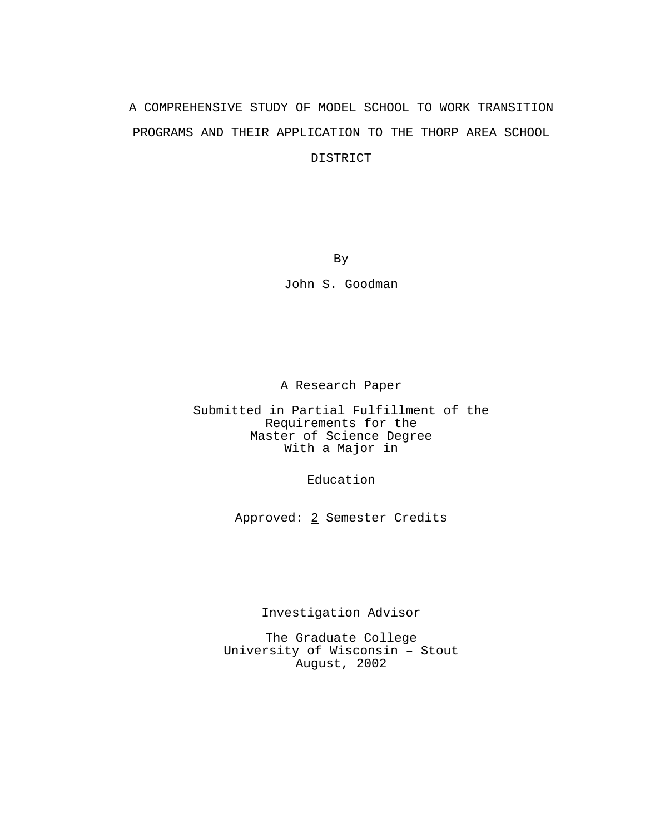# A COMPREHENSIVE STUDY OF MODEL SCHOOL TO WORK TRANSITION PROGRAMS AND THEIR APPLICATION TO THE THORP AREA SCHOOL DISTRICT

By

John S. Goodman

A Research Paper

Submitted in Partial Fulfillment of the Requirements for the Master of Science Degree With a Major in

Education

Approved: 2 Semester Credits

Investigation Advisor

J.

The Graduate College University of Wisconsin – Stout August, 2002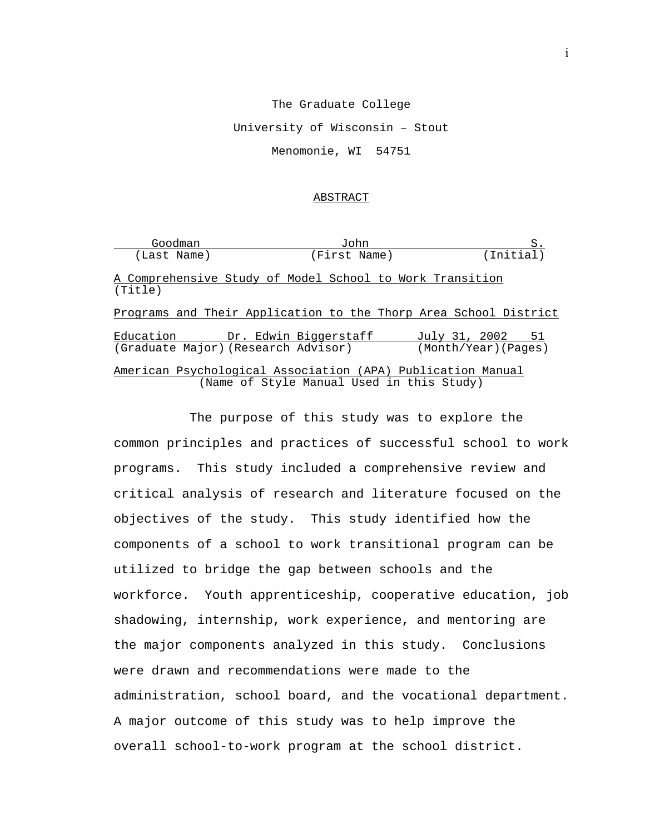#### The Graduate College

University of Wisconsin – Stout

Menomonie, WI 54751

#### ABSTRACT

| Goodman                                                                | John                                      | S.                                                               |
|------------------------------------------------------------------------|-------------------------------------------|------------------------------------------------------------------|
| (Last Name)                                                            | (First Name)                              | (Initial)                                                        |
| A Comprehensive Study of Model School to Work Transition<br>(Title)    |                                           |                                                                  |
|                                                                        |                                           | Programs and Their Application to the Thorp Area School District |
| Education Dr. Edwin Biggerstaff<br>(Graduate Major) (Research Advisor) |                                           | July 31, 2002 51<br>(Month/Year) (Pages)                         |
| American Psychological Association (APA) Publication Manual            | (Name of Style Manual Used in this Study) |                                                                  |

The purpose of this study was to explore the common principles and practices of successful school to work programs. This study included a comprehensive review and critical analysis of research and literature focused on the objectives of the study. This study identified how the components of a school to work transitional program can be utilized to bridge the gap between schools and the workforce. Youth apprenticeship, cooperative education, job shadowing, internship, work experience, and mentoring are the major components analyzed in this study. Conclusions were drawn and recommendations were made to the administration, school board, and the vocational department. A major outcome of this study was to help improve the overall school-to-work program at the school district.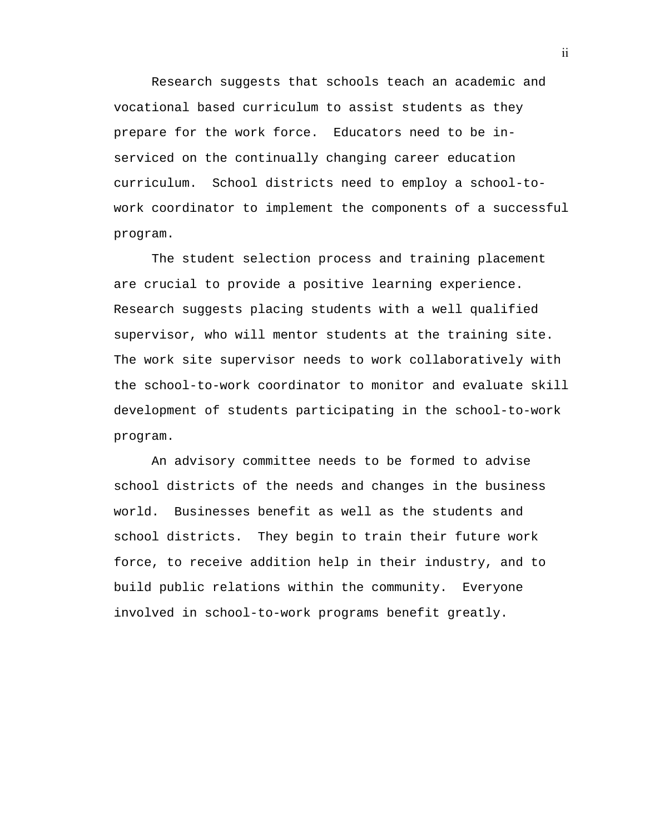Research suggests that schools teach an academic and vocational based curriculum to assist students as they prepare for the work force. Educators need to be inserviced on the continually changing career education curriculum. School districts need to employ a school-towork coordinator to implement the components of a successful program.

The student selection process and training placement are crucial to provide a positive learning experience. Research suggests placing students with a well qualified supervisor, who will mentor students at the training site. The work site supervisor needs to work collaboratively with the school-to-work coordinator to monitor and evaluate skill development of students participating in the school-to-work program.

An advisory committee needs to be formed to advise school districts of the needs and changes in the business world. Businesses benefit as well as the students and school districts. They begin to train their future work force, to receive addition help in their industry, and to build public relations within the community. Everyone involved in school-to-work programs benefit greatly.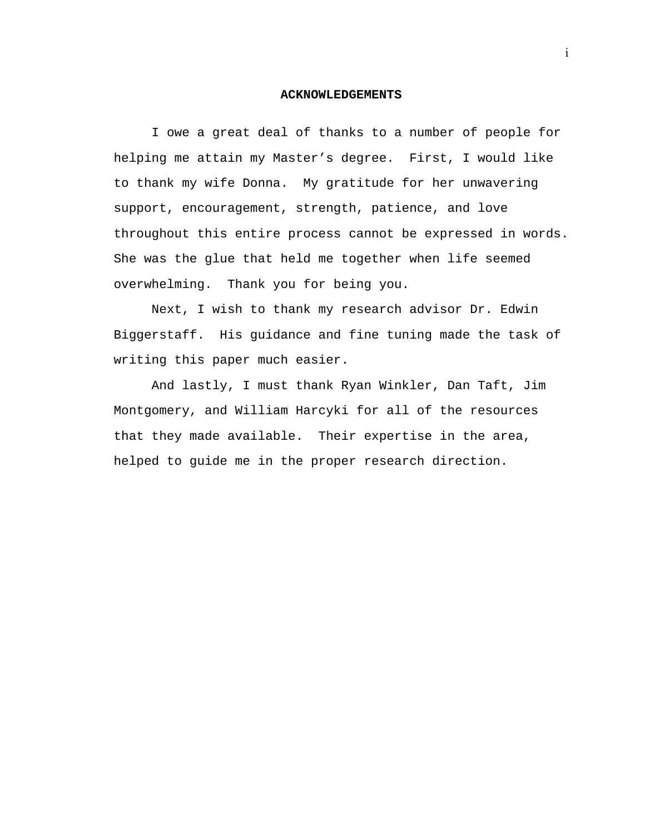#### **ACKNOWLEDGEMENTS**

 I owe a great deal of thanks to a number of people for helping me attain my Master's degree. First, I would like to thank my wife Donna. My gratitude for her unwavering support, encouragement, strength, patience, and love throughout this entire process cannot be expressed in words. She was the glue that held me together when life seemed overwhelming. Thank you for being you.

 Next, I wish to thank my research advisor Dr. Edwin Biggerstaff. His guidance and fine tuning made the task of writing this paper much easier.

 And lastly, I must thank Ryan Winkler, Dan Taft, Jim Montgomery, and William Harcyki for all of the resources that they made available. Their expertise in the area, helped to guide me in the proper research direction.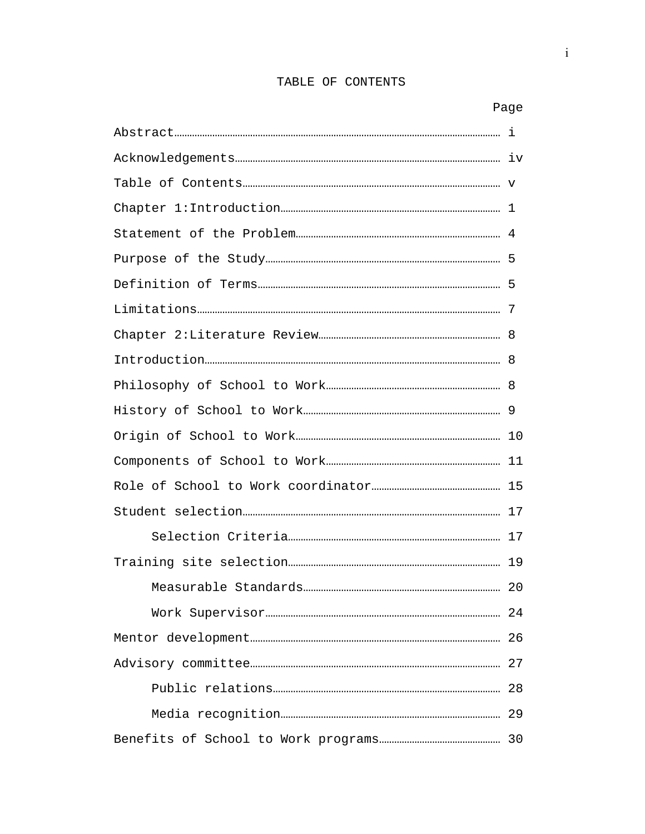## TABLE OF CONTENTS

i

|  | Page |  |
|--|------|--|
|  |      |  |
|  |      |  |
|  |      |  |
|  |      |  |
|  |      |  |
|  |      |  |
|  |      |  |
|  |      |  |
|  |      |  |
|  |      |  |
|  |      |  |
|  |      |  |
|  |      |  |
|  |      |  |
|  |      |  |
|  |      |  |
|  |      |  |
|  |      |  |
|  |      |  |
|  |      |  |
|  |      |  |
|  |      |  |
|  |      |  |
|  |      |  |
|  |      |  |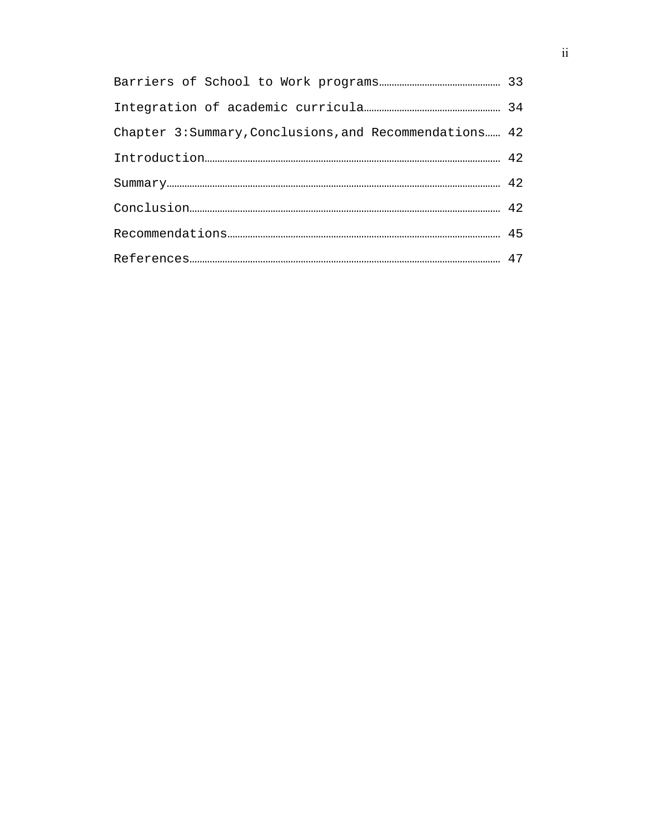| Chapter 3: Summary, Conclusions, and Recommendations 42 |  |
|---------------------------------------------------------|--|
|                                                         |  |
| $\verb Summary    \textit{12}$                          |  |
|                                                         |  |
|                                                         |  |
|                                                         |  |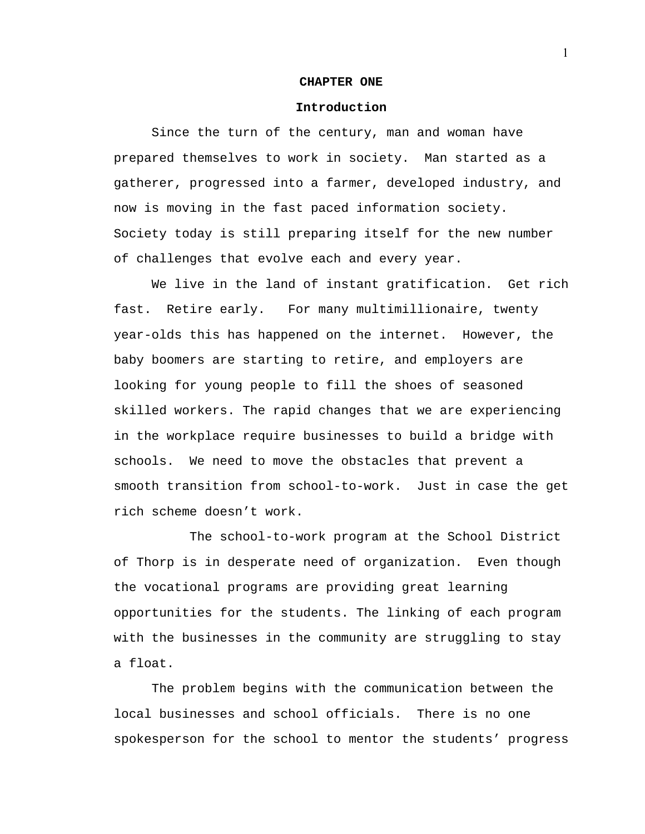#### **CHAPTER ONE**

#### **Introduction**

 Since the turn of the century, man and woman have prepared themselves to work in society. Man started as a gatherer, progressed into a farmer, developed industry, and now is moving in the fast paced information society. Society today is still preparing itself for the new number of challenges that evolve each and every year.

We live in the land of instant gratification. Get rich fast. Retire early. For many multimillionaire, twenty year-olds this has happened on the internet. However, the baby boomers are starting to retire, and employers are looking for young people to fill the shoes of seasoned skilled workers. The rapid changes that we are experiencing in the workplace require businesses to build a bridge with schools. We need to move the obstacles that prevent a smooth transition from school-to-work. Just in case the get rich scheme doesn't work.

 The school-to-work program at the School District of Thorp is in desperate need of organization. Even though the vocational programs are providing great learning opportunities for the students. The linking of each program with the businesses in the community are struggling to stay a float.

The problem begins with the communication between the local businesses and school officials. There is no one spokesperson for the school to mentor the students' progress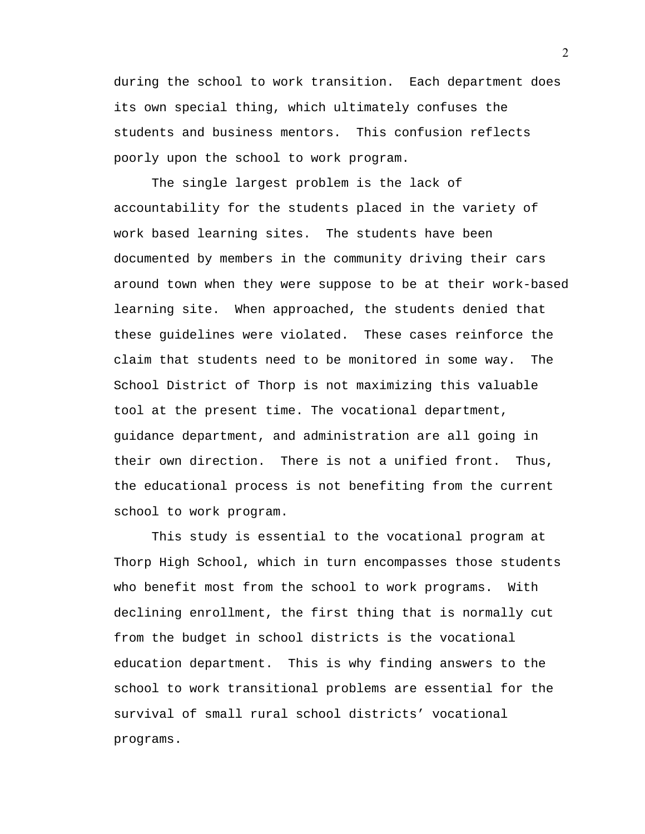during the school to work transition. Each department does its own special thing, which ultimately confuses the students and business mentors. This confusion reflects poorly upon the school to work program.

The single largest problem is the lack of accountability for the students placed in the variety of work based learning sites. The students have been documented by members in the community driving their cars around town when they were suppose to be at their work-based learning site. When approached, the students denied that these guidelines were violated. These cases reinforce the claim that students need to be monitored in some way. The School District of Thorp is not maximizing this valuable tool at the present time. The vocational department, guidance department, and administration are all going in their own direction. There is not a unified front. Thus, the educational process is not benefiting from the current school to work program.

 This study is essential to the vocational program at Thorp High School, which in turn encompasses those students who benefit most from the school to work programs. With declining enrollment, the first thing that is normally cut from the budget in school districts is the vocational education department. This is why finding answers to the school to work transitional problems are essential for the survival of small rural school districts' vocational programs.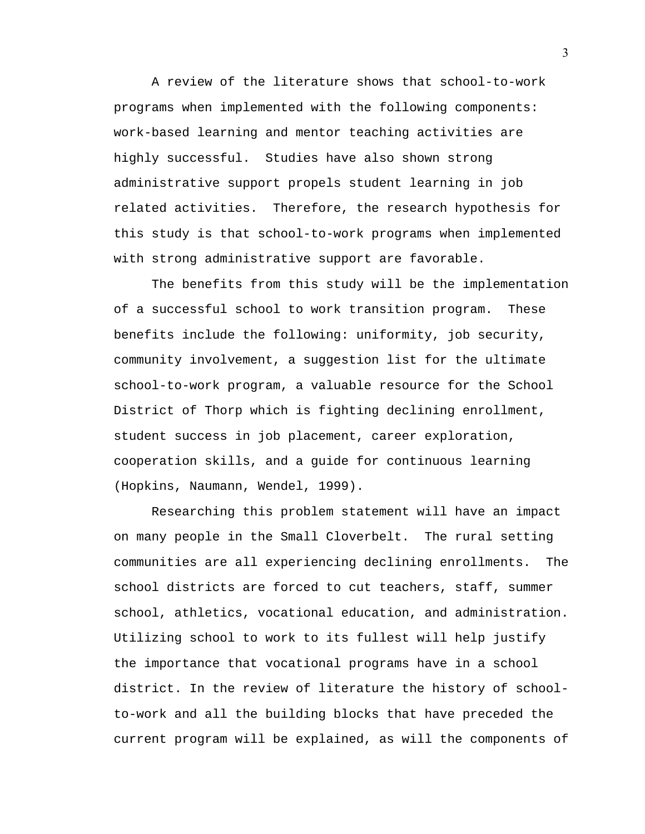A review of the literature shows that school-to-work programs when implemented with the following components: work-based learning and mentor teaching activities are highly successful. Studies have also shown strong administrative support propels student learning in job related activities. Therefore, the research hypothesis for this study is that school-to-work programs when implemented with strong administrative support are favorable.

 The benefits from this study will be the implementation of a successful school to work transition program. These benefits include the following: uniformity, job security, community involvement, a suggestion list for the ultimate school-to-work program, a valuable resource for the School District of Thorp which is fighting declining enrollment, student success in job placement, career exploration, cooperation skills, and a guide for continuous learning (Hopkins, Naumann, Wendel, 1999).

 Researching this problem statement will have an impact on many people in the Small Cloverbelt. The rural setting communities are all experiencing declining enrollments. The school districts are forced to cut teachers, staff, summer school, athletics, vocational education, and administration. Utilizing school to work to its fullest will help justify the importance that vocational programs have in a school district. In the review of literature the history of schoolto-work and all the building blocks that have preceded the current program will be explained, as will the components of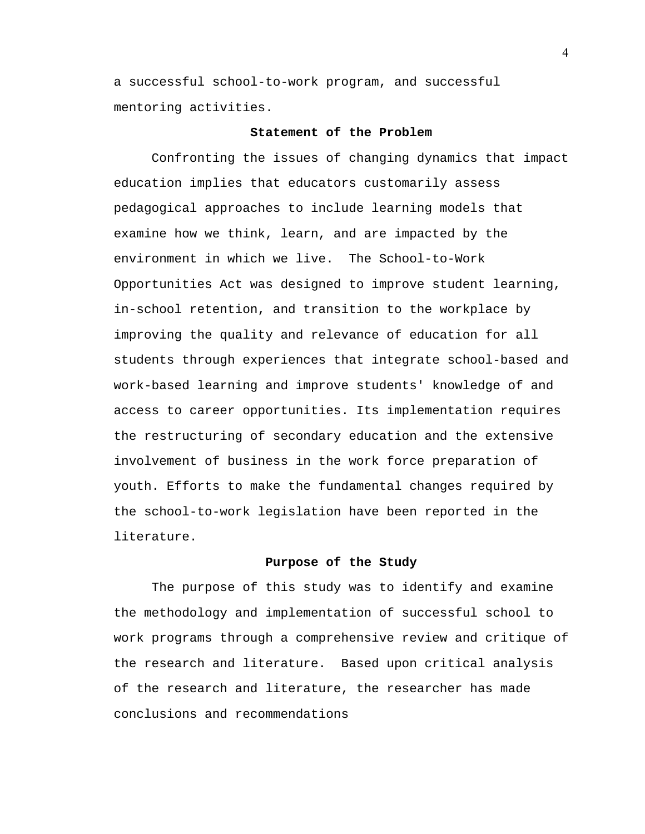a successful school-to-work program, and successful mentoring activities.

## **Statement of the Problem**

Confronting the issues of changing dynamics that impact education implies that educators customarily assess pedagogical approaches to include learning models that examine how we think, learn, and are impacted by the environment in which we live. The School-to-Work Opportunities Act was designed to improve student learning, in-school retention, and transition to the workplace by improving the quality and relevance of education for all students through experiences that integrate school-based and work-based learning and improve students' knowledge of and access to career opportunities. Its implementation requires the restructuring of secondary education and the extensive involvement of business in the work force preparation of youth. Efforts to make the fundamental changes required by the school-to-work legislation have been reported in the literature.

## **Purpose of the Study**

 The purpose of this study was to identify and examine the methodology and implementation of successful school to work programs through a comprehensive review and critique of the research and literature. Based upon critical analysis of the research and literature, the researcher has made conclusions and recommendations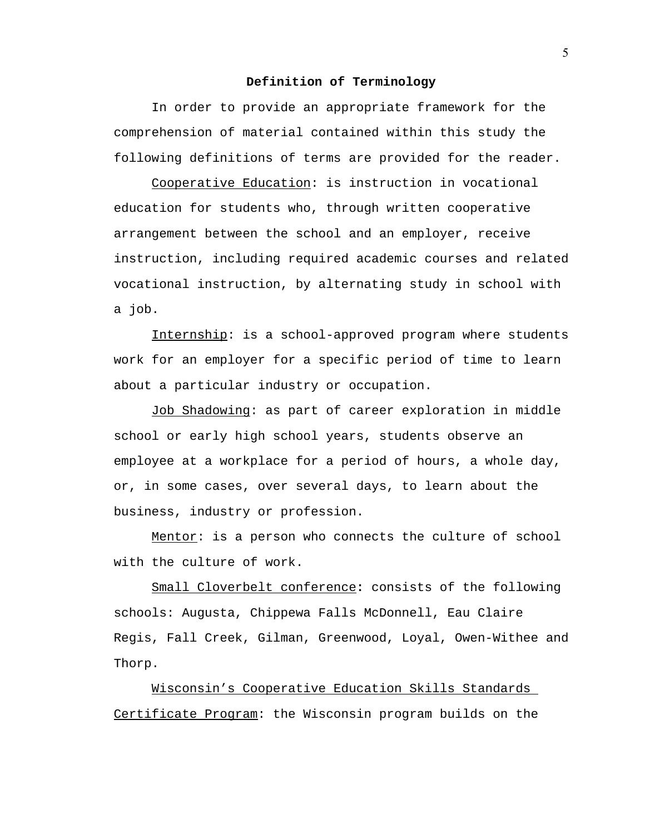#### **Definition of Terminology**

 In order to provide an appropriate framework for the comprehension of material contained within this study the following definitions of terms are provided for the reader.

Cooperative Education: is instruction in vocational education for students who, through written cooperative arrangement between the school and an employer, receive instruction, including required academic courses and related vocational instruction, by alternating study in school with a job.

Internship: is a school-approved program where students work for an employer for a specific period of time to learn about a particular industry or occupation.

Job Shadowing: as part of career exploration in middle school or early high school years, students observe an employee at a workplace for a period of hours, a whole day, or, in some cases, over several days, to learn about the business, industry or profession.

Mentor: is a person who connects the culture of school with the culture of work.

Small Cloverbelt conference**:** consists of the following schools: Augusta, Chippewa Falls McDonnell, Eau Claire Regis, Fall Creek, Gilman, Greenwood, Loyal, Owen-Withee and Thorp.

Wisconsin's Cooperative Education Skills Standards Certificate Program: the Wisconsin program builds on the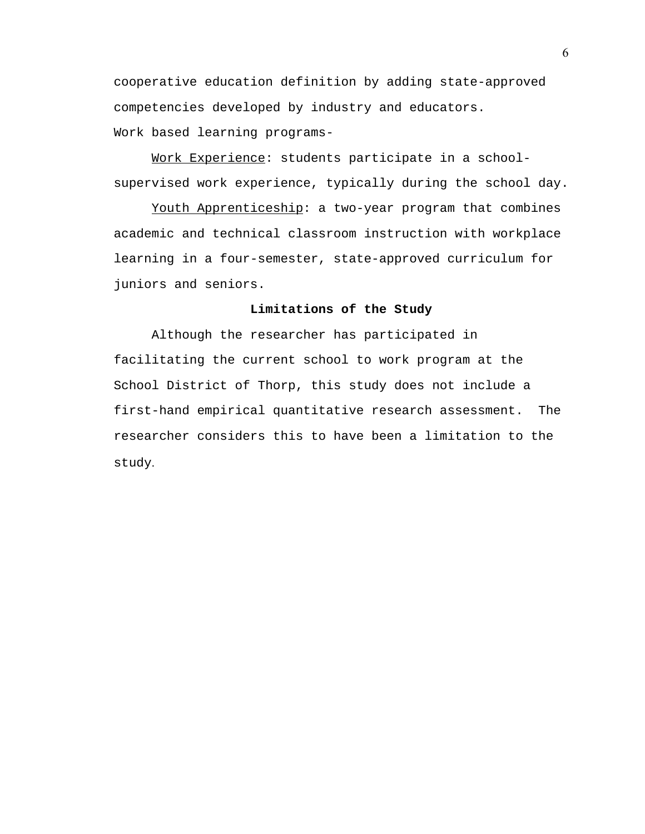cooperative education definition by adding state-approved competencies developed by industry and educators. Work based learning programs-

Work Experience: students participate in a schoolsupervised work experience, typically during the school day.

Youth Apprenticeship: a two-year program that combines academic and technical classroom instruction with workplace learning in a four-semester, state-approved curriculum for juniors and seniors.

## **Limitations of the Study**

Although the researcher has participated in facilitating the current school to work program at the School District of Thorp, this study does not include a first-hand empirical quantitative research assessment. The researcher considers this to have been a limitation to the study.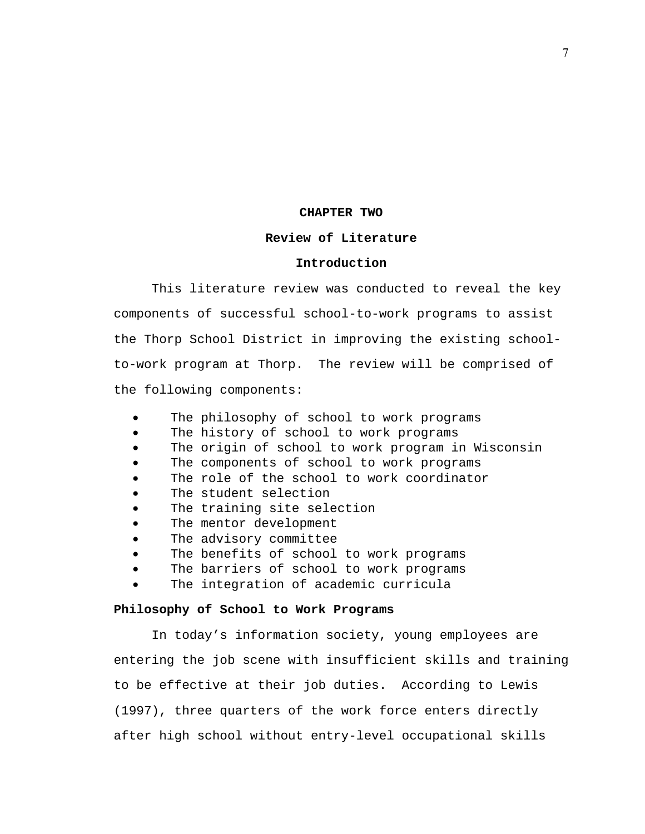#### **CHAPTER TWO**

#### **Review of Literature**

#### **Introduction**

This literature review was conducted to reveal the key components of successful school-to-work programs to assist the Thorp School District in improving the existing schoolto-work program at Thorp. The review will be comprised of the following components:

- The philosophy of school to work programs
- The history of school to work programs
- The origin of school to work program in Wisconsin
- The components of school to work programs
- The role of the school to work coordinator
- The student selection
- The training site selection
- The mentor development
- The advisory committee
- The benefits of school to work programs
- The barriers of school to work programs
- The integration of academic curricula

#### **Philosophy of School to Work Programs**

In today's information society, young employees are entering the job scene with insufficient skills and training to be effective at their job duties. According to Lewis (1997), three quarters of the work force enters directly after high school without entry-level occupational skills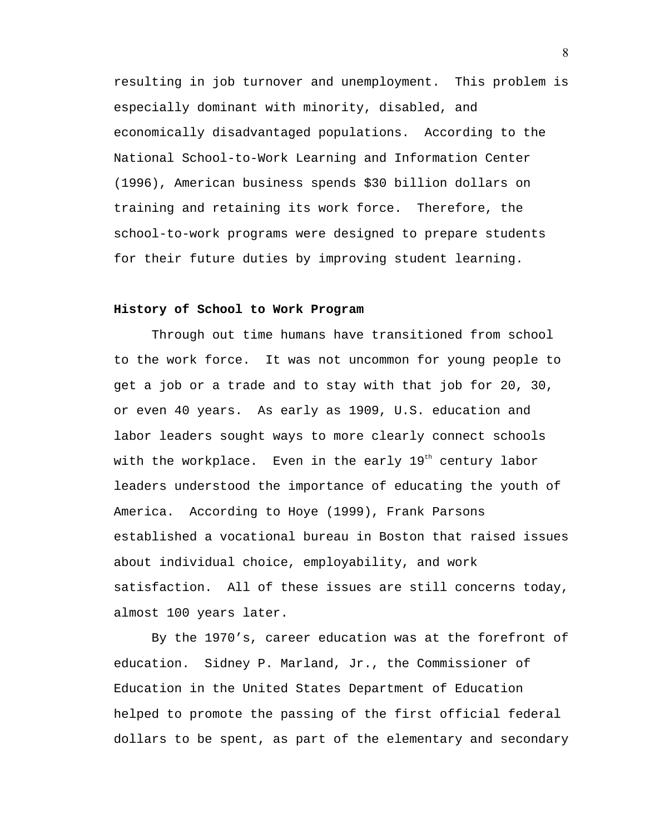resulting in job turnover and unemployment. This problem is especially dominant with minority, disabled, and economically disadvantaged populations. According to the National School-to-Work Learning and Information Center (1996), American business spends \$30 billion dollars on training and retaining its work force. Therefore, the school-to-work programs were designed to prepare students for their future duties by improving student learning.

#### **History of School to Work Program**

 Through out time humans have transitioned from school to the work force. It was not uncommon for young people to get a job or a trade and to stay with that job for 20, 30, or even 40 years. As early as 1909, U.S. education and labor leaders sought ways to more clearly connect schools with the workplace. Even in the early  $19<sup>th</sup>$  century labor leaders understood the importance of educating the youth of America. According to Hoye (1999), Frank Parsons established a vocational bureau in Boston that raised issues about individual choice, employability, and work satisfaction. All of these issues are still concerns today, almost 100 years later.

By the 1970's, career education was at the forefront of education. Sidney P. Marland, Jr., the Commissioner of Education in the United States Department of Education helped to promote the passing of the first official federal dollars to be spent, as part of the elementary and secondary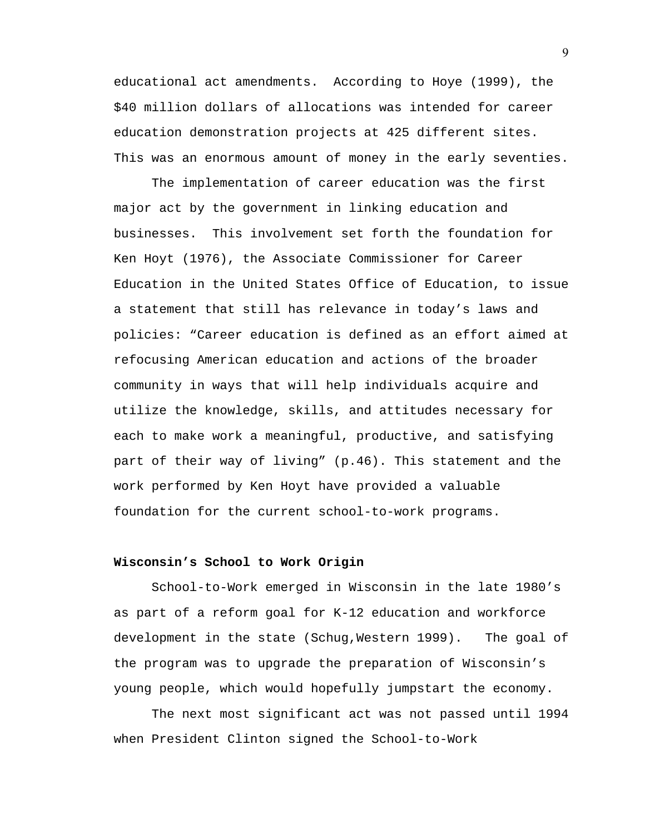educational act amendments. According to Hoye (1999), the \$40 million dollars of allocations was intended for career education demonstration projects at 425 different sites. This was an enormous amount of money in the early seventies.

The implementation of career education was the first major act by the government in linking education and businesses. This involvement set forth the foundation for Ken Hoyt (1976), the Associate Commissioner for Career Education in the United States Office of Education, to issue a statement that still has relevance in today's laws and policies: "Career education is defined as an effort aimed at refocusing American education and actions of the broader community in ways that will help individuals acquire and utilize the knowledge, skills, and attitudes necessary for each to make work a meaningful, productive, and satisfying part of their way of living" (p.46). This statement and the work performed by Ken Hoyt have provided a valuable foundation for the current school-to-work programs.

## **Wisconsin's School to Work Origin**

School-to-Work emerged in Wisconsin in the late 1980's as part of a reform goal for K-12 education and workforce development in the state (Schug,Western 1999). The goal of the program was to upgrade the preparation of Wisconsin's young people, which would hopefully jumpstart the economy.

The next most significant act was not passed until 1994 when President Clinton signed the School-to-Work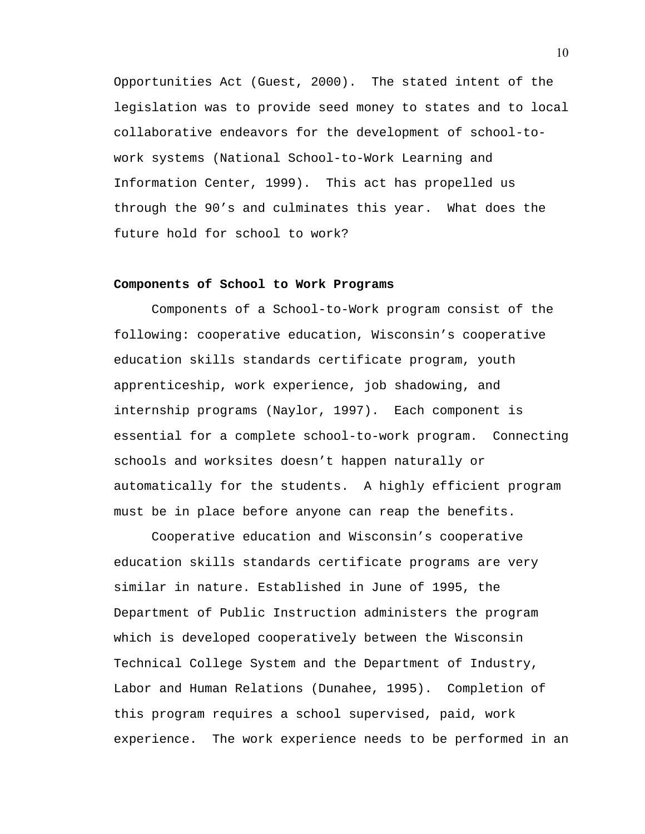Opportunities Act (Guest, 2000). The stated intent of the legislation was to provide seed money to states and to local collaborative endeavors for the development of school-towork systems (National School-to-Work Learning and Information Center, 1999). This act has propelled us through the 90's and culminates this year. What does the future hold for school to work?

## **Components of School to Work Programs**

 Components of a School-to-Work program consist of the following: cooperative education, Wisconsin's cooperative education skills standards certificate program, youth apprenticeship, work experience, job shadowing, and internship programs (Naylor, 1997). Each component is essential for a complete school-to-work program. Connecting schools and worksites doesn't happen naturally or automatically for the students. A highly efficient program must be in place before anyone can reap the benefits.

 Cooperative education and Wisconsin's cooperative education skills standards certificate programs are very similar in nature. Established in June of 1995, the Department of Public Instruction administers the program which is developed cooperatively between the Wisconsin Technical College System and the Department of Industry, Labor and Human Relations (Dunahee, 1995). Completion of this program requires a school supervised, paid, work experience. The work experience needs to be performed in an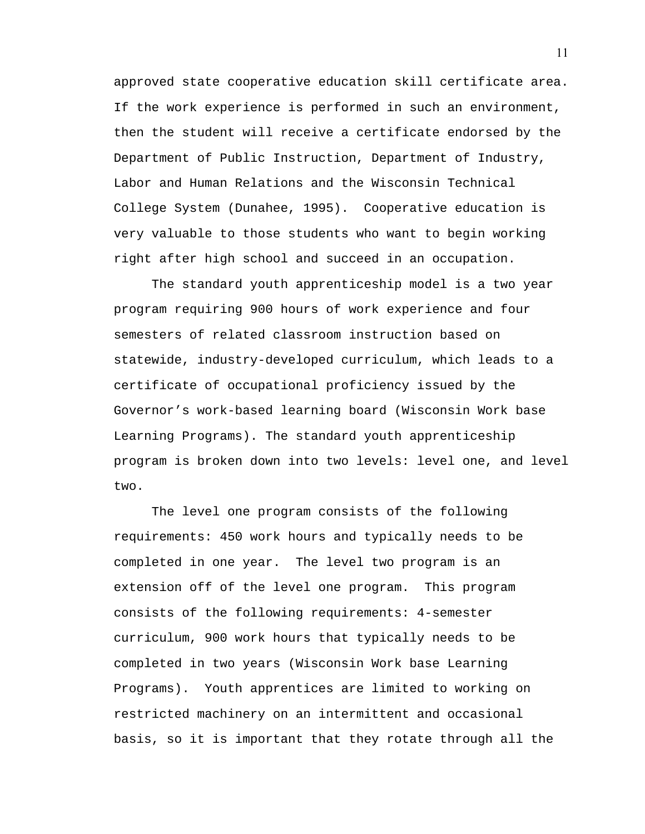approved state cooperative education skill certificate area. If the work experience is performed in such an environment, then the student will receive a certificate endorsed by the Department of Public Instruction, Department of Industry, Labor and Human Relations and the Wisconsin Technical College System (Dunahee, 1995). Cooperative education is very valuable to those students who want to begin working right after high school and succeed in an occupation.

 The standard youth apprenticeship model is a two year program requiring 900 hours of work experience and four semesters of related classroom instruction based on statewide, industry-developed curriculum, which leads to a certificate of occupational proficiency issued by the Governor's work-based learning board (Wisconsin Work base Learning Programs). The standard youth apprenticeship program is broken down into two levels: level one, and level two.

The level one program consists of the following requirements: 450 work hours and typically needs to be completed in one year. The level two program is an extension off of the level one program. This program consists of the following requirements: 4-semester curriculum, 900 work hours that typically needs to be completed in two years (Wisconsin Work base Learning Programs). Youth apprentices are limited to working on restricted machinery on an intermittent and occasional basis, so it is important that they rotate through all the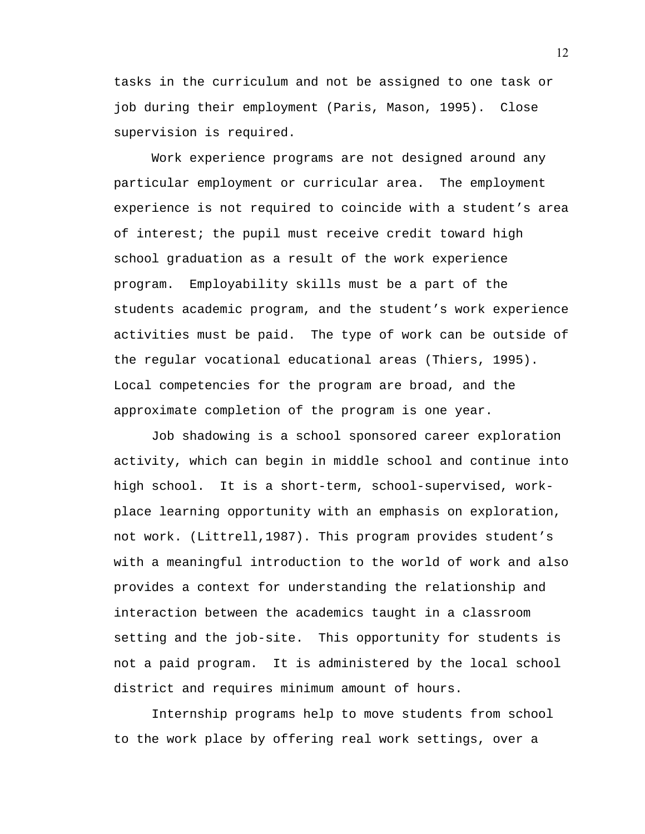tasks in the curriculum and not be assigned to one task or job during their employment (Paris, Mason, 1995). Close supervision is required.

 Work experience programs are not designed around any particular employment or curricular area. The employment experience is not required to coincide with a student's area of interest; the pupil must receive credit toward high school graduation as a result of the work experience program. Employability skills must be a part of the students academic program, and the student's work experience activities must be paid. The type of work can be outside of the regular vocational educational areas (Thiers, 1995). Local competencies for the program are broad, and the approximate completion of the program is one year.

 Job shadowing is a school sponsored career exploration activity, which can begin in middle school and continue into high school. It is a short-term, school-supervised, workplace learning opportunity with an emphasis on exploration, not work. (Littrell,1987). This program provides student's with a meaningful introduction to the world of work and also provides a context for understanding the relationship and interaction between the academics taught in a classroom setting and the job-site. This opportunity for students is not a paid program. It is administered by the local school district and requires minimum amount of hours.

 Internship programs help to move students from school to the work place by offering real work settings, over a

12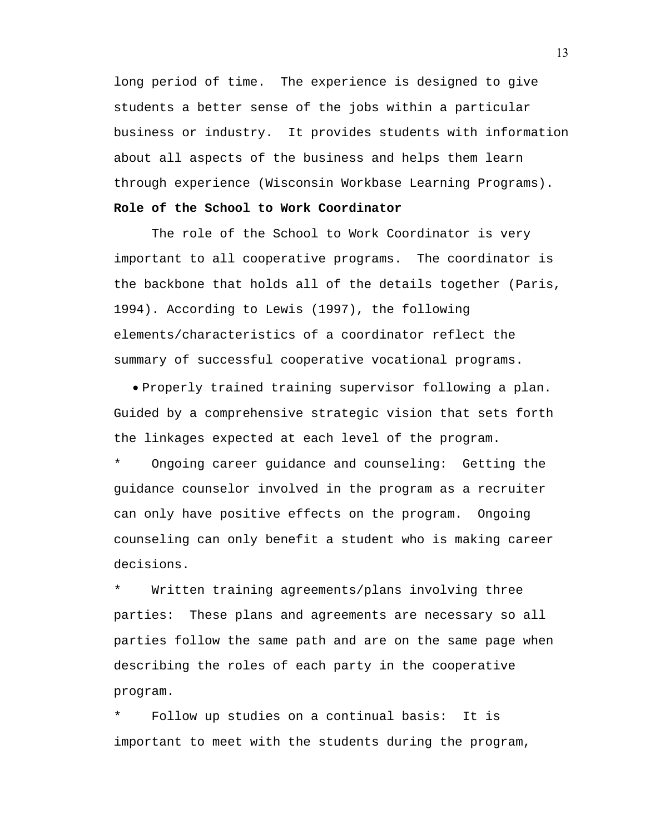long period of time. The experience is designed to give students a better sense of the jobs within a particular business or industry. It provides students with information about all aspects of the business and helps them learn through experience (Wisconsin Workbase Learning Programs).

## **Role of the School to Work Coordinator**

The role of the School to Work Coordinator is very important to all cooperative programs. The coordinator is the backbone that holds all of the details together (Paris, 1994). According to Lewis (1997), the following elements/characteristics of a coordinator reflect the summary of successful cooperative vocational programs.

• Properly trained training supervisor following a plan. Guided by a comprehensive strategic vision that sets forth the linkages expected at each level of the program.

Ongoing career guidance and counseling: Getting the guidance counselor involved in the program as a recruiter can only have positive effects on the program. Ongoing counseling can only benefit a student who is making career decisions.

Written training agreements/plans involving three parties: These plans and agreements are necessary so all parties follow the same path and are on the same page when describing the roles of each party in the cooperative program.

Follow up studies on a continual basis: It is important to meet with the students during the program,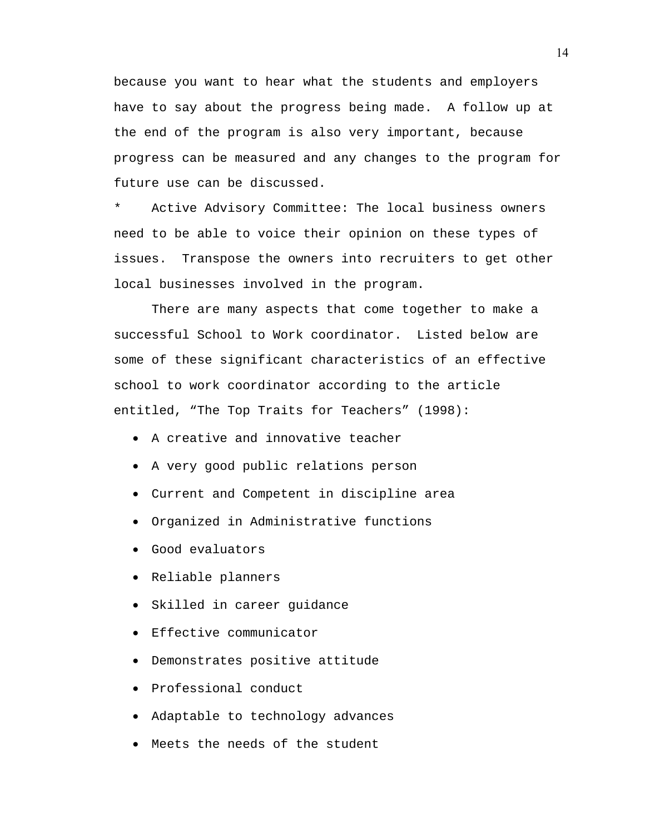because you want to hear what the students and employers have to say about the progress being made. A follow up at the end of the program is also very important, because progress can be measured and any changes to the program for future use can be discussed.

Active Advisory Committee: The local business owners need to be able to voice their opinion on these types of issues. Transpose the owners into recruiters to get other local businesses involved in the program.

There are many aspects that come together to make a successful School to Work coordinator. Listed below are some of these significant characteristics of an effective school to work coordinator according to the article entitled, "The Top Traits for Teachers" (1998):

- A creative and innovative teacher
- A very good public relations person
- Current and Competent in discipline area
- Organized in Administrative functions
- Good evaluators
- Reliable planners
- Skilled in career guidance
- Effective communicator
- Demonstrates positive attitude
- Professional conduct
- Adaptable to technology advances
- Meets the needs of the student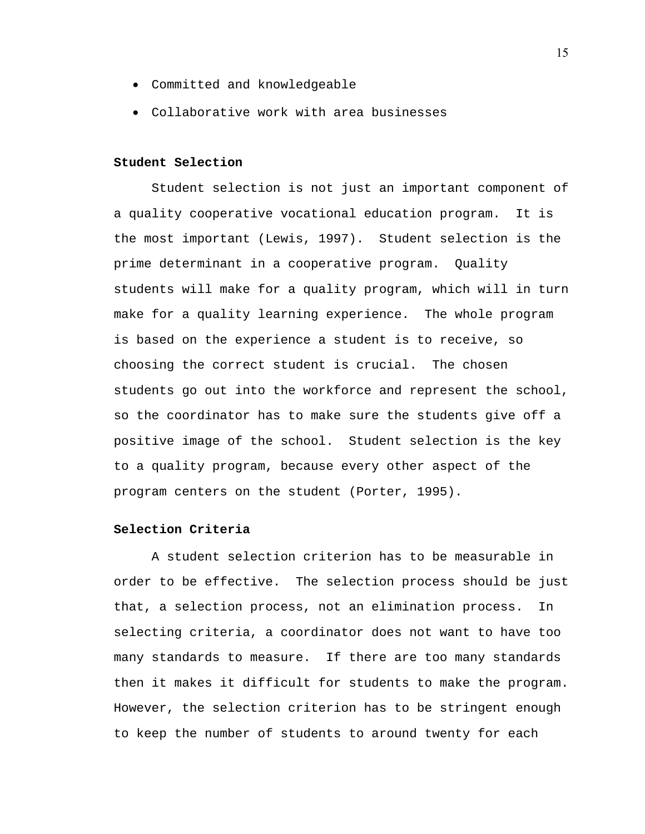- Committed and knowledgeable
- Collaborative work with area businesses

## **Student Selection**

Student selection is not just an important component of a quality cooperative vocational education program. It is the most important (Lewis, 1997). Student selection is the prime determinant in a cooperative program. Quality students will make for a quality program, which will in turn make for a quality learning experience. The whole program is based on the experience a student is to receive, so choosing the correct student is crucial. The chosen students go out into the workforce and represent the school, so the coordinator has to make sure the students give off a positive image of the school. Student selection is the key to a quality program, because every other aspect of the program centers on the student (Porter, 1995).

## **Selection Criteria**

A student selection criterion has to be measurable in order to be effective. The selection process should be just that, a selection process, not an elimination process. In selecting criteria, a coordinator does not want to have too many standards to measure. If there are too many standards then it makes it difficult for students to make the program. However, the selection criterion has to be stringent enough to keep the number of students to around twenty for each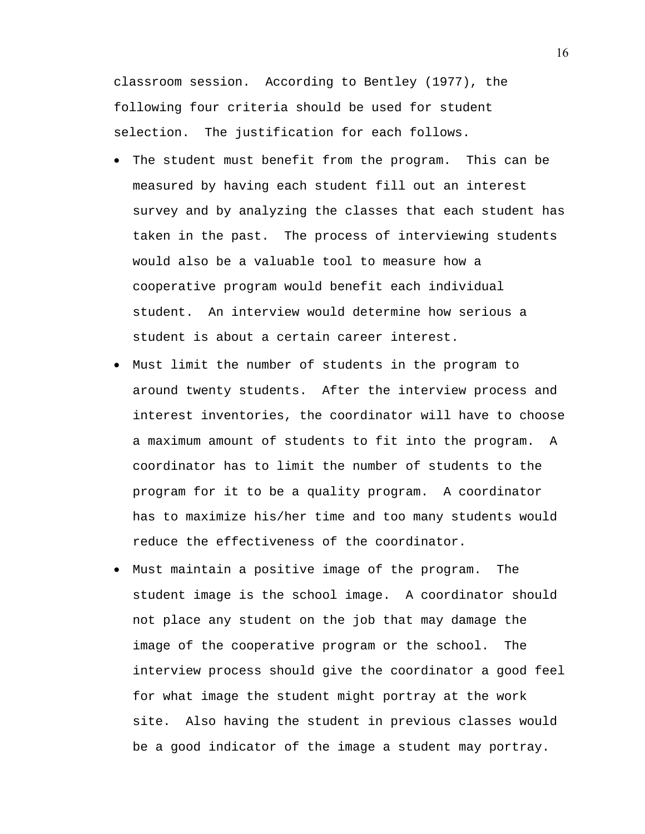classroom session. According to Bentley (1977), the following four criteria should be used for student selection. The justification for each follows.

- The student must benefit from the program. This can be measured by having each student fill out an interest survey and by analyzing the classes that each student has taken in the past. The process of interviewing students would also be a valuable tool to measure how a cooperative program would benefit each individual student. An interview would determine how serious a student is about a certain career interest.
- Must limit the number of students in the program to around twenty students. After the interview process and interest inventories, the coordinator will have to choose a maximum amount of students to fit into the program. A coordinator has to limit the number of students to the program for it to be a quality program. A coordinator has to maximize his/her time and too many students would reduce the effectiveness of the coordinator.
- Must maintain a positive image of the program. The student image is the school image. A coordinator should not place any student on the job that may damage the image of the cooperative program or the school. The interview process should give the coordinator a good feel for what image the student might portray at the work site. Also having the student in previous classes would be a good indicator of the image a student may portray.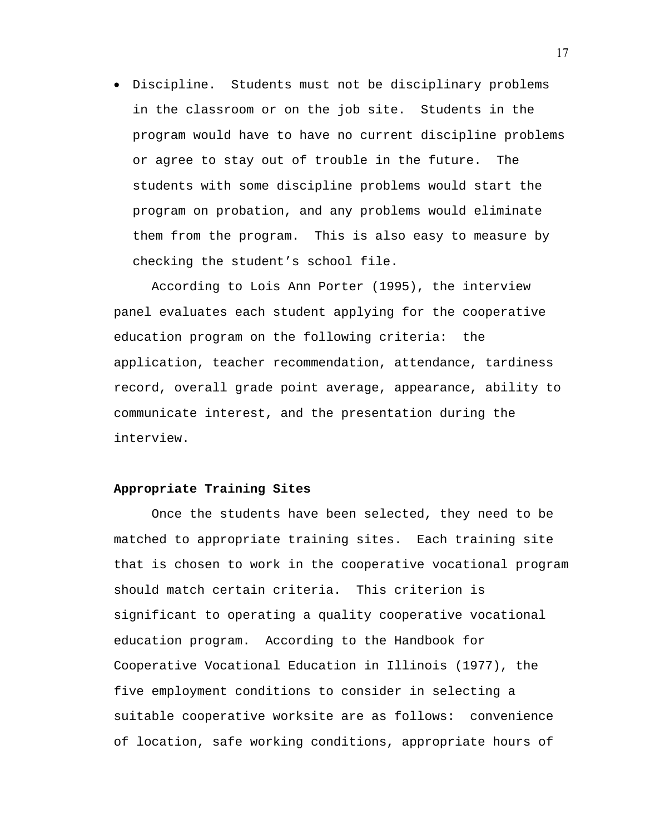• Discipline. Students must not be disciplinary problems in the classroom or on the job site. Students in the program would have to have no current discipline problems or agree to stay out of trouble in the future. The students with some discipline problems would start the program on probation, and any problems would eliminate them from the program. This is also easy to measure by checking the student's school file.

 According to Lois Ann Porter (1995), the interview panel evaluates each student applying for the cooperative education program on the following criteria: the application, teacher recommendation, attendance, tardiness record, overall grade point average, appearance, ability to communicate interest, and the presentation during the interview.

#### **Appropriate Training Sites**

 Once the students have been selected, they need to be matched to appropriate training sites. Each training site that is chosen to work in the cooperative vocational program should match certain criteria. This criterion is significant to operating a quality cooperative vocational education program. According to the Handbook for Cooperative Vocational Education in Illinois (1977), the five employment conditions to consider in selecting a suitable cooperative worksite are as follows: convenience of location, safe working conditions, appropriate hours of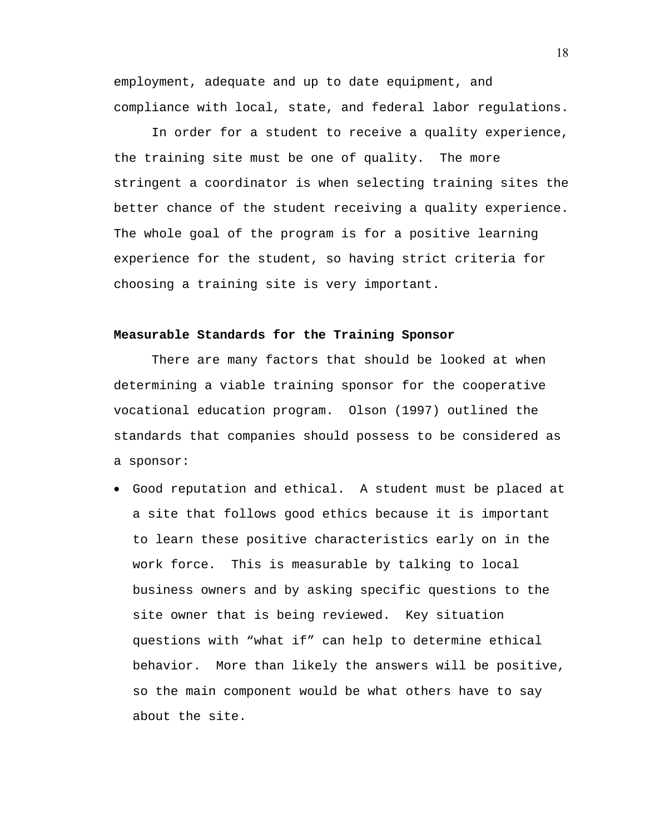employment, adequate and up to date equipment, and compliance with local, state, and federal labor regulations.

In order for a student to receive a quality experience, the training site must be one of quality. The more stringent a coordinator is when selecting training sites the better chance of the student receiving a quality experience. The whole goal of the program is for a positive learning experience for the student, so having strict criteria for choosing a training site is very important.

#### **Measurable Standards for the Training Sponsor**

 There are many factors that should be looked at when determining a viable training sponsor for the cooperative vocational education program. Olson (1997) outlined the standards that companies should possess to be considered as a sponsor:

• Good reputation and ethical. A student must be placed at a site that follows good ethics because it is important to learn these positive characteristics early on in the work force. This is measurable by talking to local business owners and by asking specific questions to the site owner that is being reviewed. Key situation questions with "what if" can help to determine ethical behavior. More than likely the answers will be positive, so the main component would be what others have to say about the site.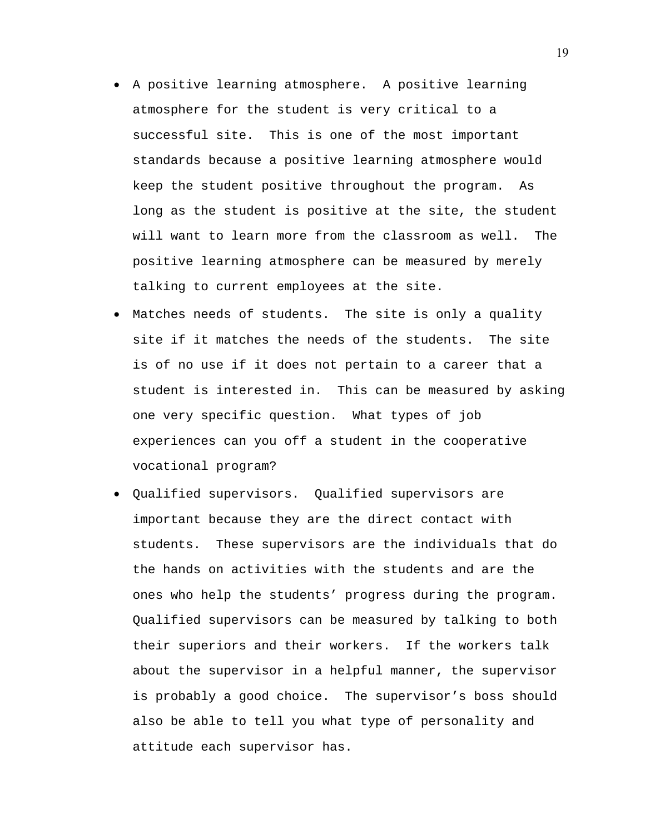- A positive learning atmosphere. A positive learning atmosphere for the student is very critical to a successful site. This is one of the most important standards because a positive learning atmosphere would keep the student positive throughout the program. As long as the student is positive at the site, the student will want to learn more from the classroom as well. The positive learning atmosphere can be measured by merely talking to current employees at the site.
- Matches needs of students. The site is only a quality site if it matches the needs of the students. The site is of no use if it does not pertain to a career that a student is interested in. This can be measured by asking one very specific question. What types of job experiences can you off a student in the cooperative vocational program?
- Qualified supervisors. Qualified supervisors are important because they are the direct contact with students. These supervisors are the individuals that do the hands on activities with the students and are the ones who help the students' progress during the program. Qualified supervisors can be measured by talking to both their superiors and their workers. If the workers talk about the supervisor in a helpful manner, the supervisor is probably a good choice. The supervisor's boss should also be able to tell you what type of personality and attitude each supervisor has.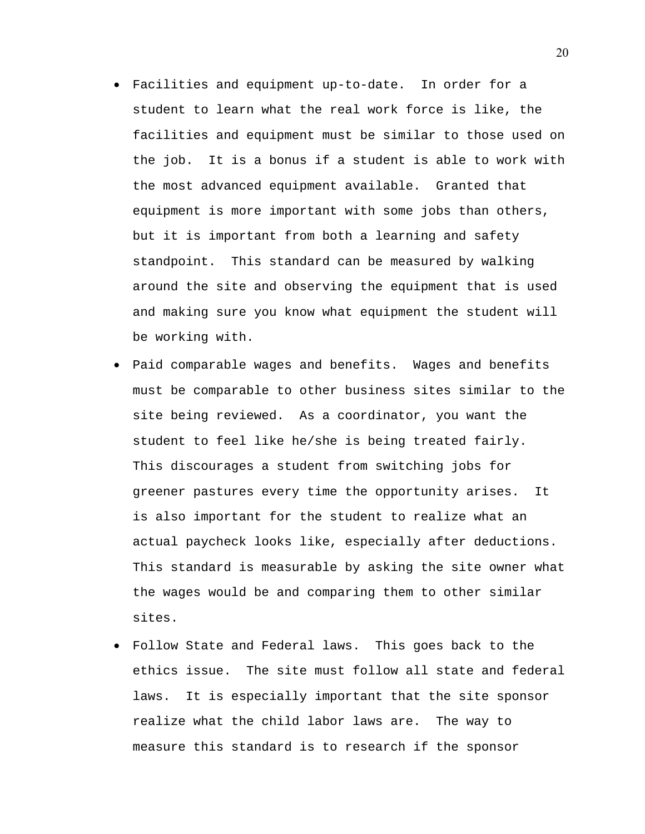- Facilities and equipment up-to-date. In order for a student to learn what the real work force is like, the facilities and equipment must be similar to those used on the job. It is a bonus if a student is able to work with the most advanced equipment available. Granted that equipment is more important with some jobs than others, but it is important from both a learning and safety standpoint. This standard can be measured by walking around the site and observing the equipment that is used and making sure you know what equipment the student will be working with.
- Paid comparable wages and benefits. Wages and benefits must be comparable to other business sites similar to the site being reviewed. As a coordinator, you want the student to feel like he/she is being treated fairly. This discourages a student from switching jobs for greener pastures every time the opportunity arises. It is also important for the student to realize what an actual paycheck looks like, especially after deductions. This standard is measurable by asking the site owner what the wages would be and comparing them to other similar sites.
- Follow State and Federal laws. This goes back to the ethics issue. The site must follow all state and federal laws. It is especially important that the site sponsor realize what the child labor laws are. The way to measure this standard is to research if the sponsor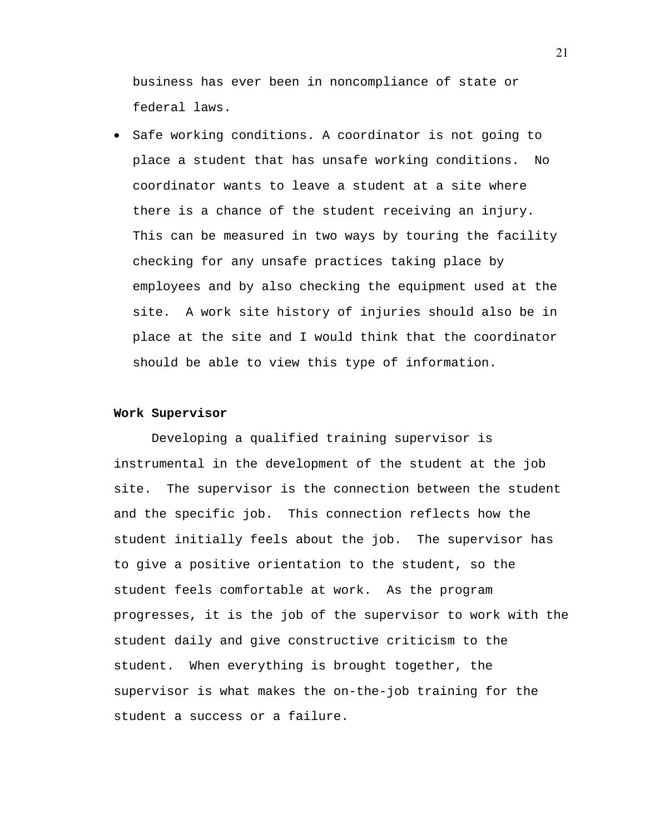business has ever been in noncompliance of state or federal laws.

• Safe working conditions. A coordinator is not going to place a student that has unsafe working conditions. No coordinator wants to leave a student at a site where there is a chance of the student receiving an injury. This can be measured in two ways by touring the facility checking for any unsafe practices taking place by employees and by also checking the equipment used at the site. A work site history of injuries should also be in place at the site and I would think that the coordinator should be able to view this type of information.

#### **Work Supervisor**

 Developing a qualified training supervisor is instrumental in the development of the student at the job site. The supervisor is the connection between the student and the specific job. This connection reflects how the student initially feels about the job. The supervisor has to give a positive orientation to the student, so the student feels comfortable at work. As the program progresses, it is the job of the supervisor to work with the student daily and give constructive criticism to the student. When everything is brought together, the supervisor is what makes the on-the-job training for the student a success or a failure.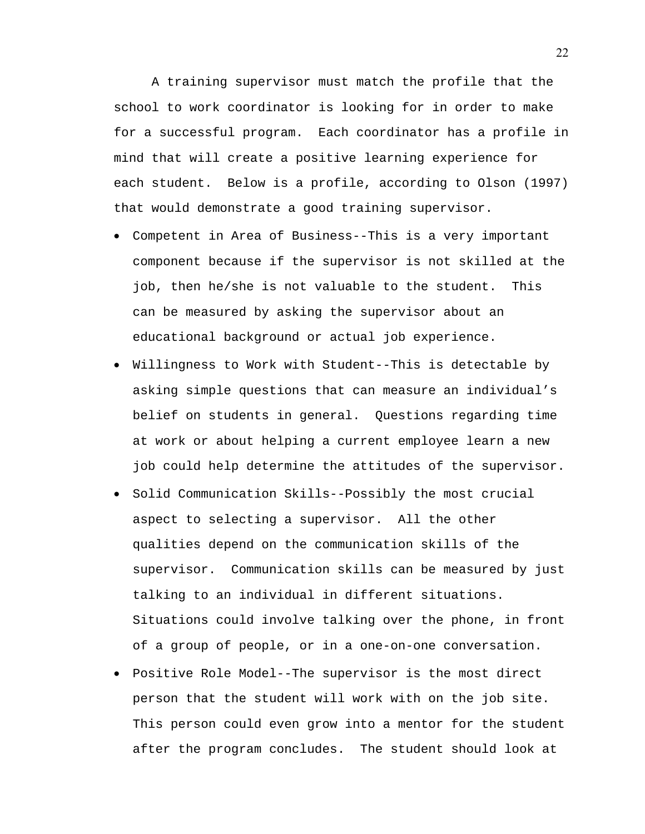A training supervisor must match the profile that the school to work coordinator is looking for in order to make for a successful program. Each coordinator has a profile in mind that will create a positive learning experience for each student. Below is a profile, according to Olson (1997) that would demonstrate a good training supervisor.

- Competent in Area of Business--This is a very important component because if the supervisor is not skilled at the job, then he/she is not valuable to the student. This can be measured by asking the supervisor about an educational background or actual job experience.
- Willingness to Work with Student--This is detectable by asking simple questions that can measure an individual's belief on students in general. Questions regarding time at work or about helping a current employee learn a new job could help determine the attitudes of the supervisor.
- Solid Communication Skills--Possibly the most crucial aspect to selecting a supervisor. All the other qualities depend on the communication skills of the supervisor. Communication skills can be measured by just talking to an individual in different situations. Situations could involve talking over the phone, in front of a group of people, or in a one-on-one conversation.
- Positive Role Model--The supervisor is the most direct person that the student will work with on the job site. This person could even grow into a mentor for the student after the program concludes. The student should look at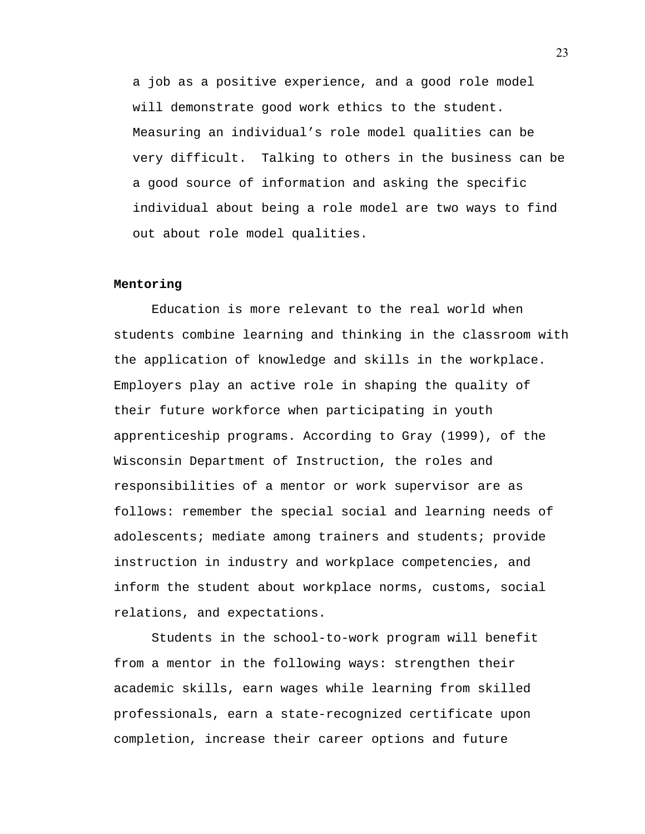a job as a positive experience, and a good role model will demonstrate good work ethics to the student. Measuring an individual's role model qualities can be very difficult. Talking to others in the business can be a good source of information and asking the specific individual about being a role model are two ways to find out about role model qualities.

## **Mentoring**

 Education is more relevant to the real world when students combine learning and thinking in the classroom with the application of knowledge and skills in the workplace. Employers play an active role in shaping the quality of their future workforce when participating in youth apprenticeship programs. According to Gray (1999), of the Wisconsin Department of Instruction, the roles and responsibilities of a mentor or work supervisor are as follows: remember the special social and learning needs of adolescents; mediate among trainers and students; provide instruction in industry and workplace competencies, and inform the student about workplace norms, customs, social relations, and expectations.

 Students in the school-to-work program will benefit from a mentor in the following ways: strengthen their academic skills, earn wages while learning from skilled professionals, earn a state-recognized certificate upon completion, increase their career options and future

23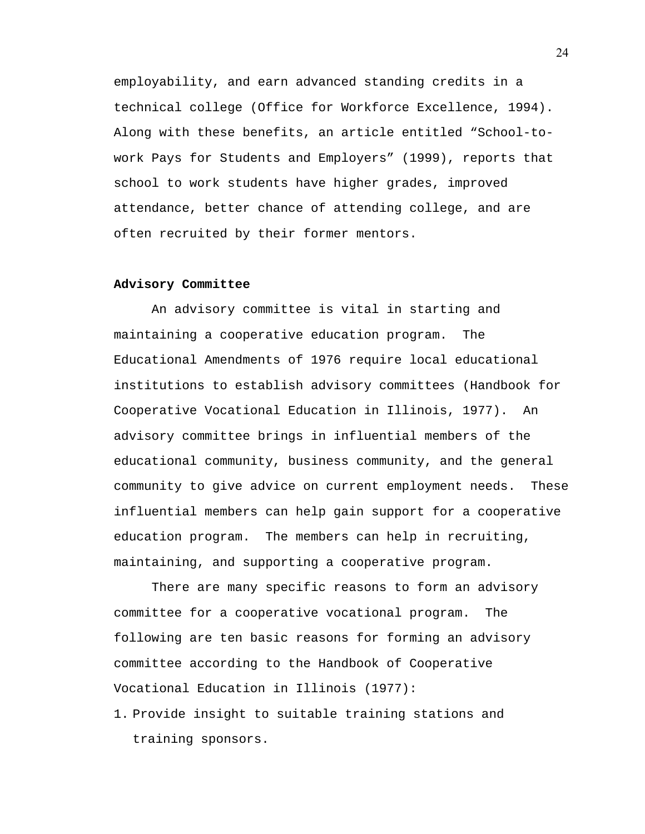employability, and earn advanced standing credits in a technical college (Office for Workforce Excellence, 1994). Along with these benefits, an article entitled "School-towork Pays for Students and Employers" (1999), reports that school to work students have higher grades, improved attendance, better chance of attending college, and are often recruited by their former mentors.

## **Advisory Committee**

An advisory committee is vital in starting and maintaining a cooperative education program. The Educational Amendments of 1976 require local educational institutions to establish advisory committees (Handbook for Cooperative Vocational Education in Illinois, 1977). An advisory committee brings in influential members of the educational community, business community, and the general community to give advice on current employment needs. These influential members can help gain support for a cooperative education program. The members can help in recruiting, maintaining, and supporting a cooperative program.

 There are many specific reasons to form an advisory committee for a cooperative vocational program. The following are ten basic reasons for forming an advisory committee according to the Handbook of Cooperative Vocational Education in Illinois (1977):

1. Provide insight to suitable training stations and training sponsors.

24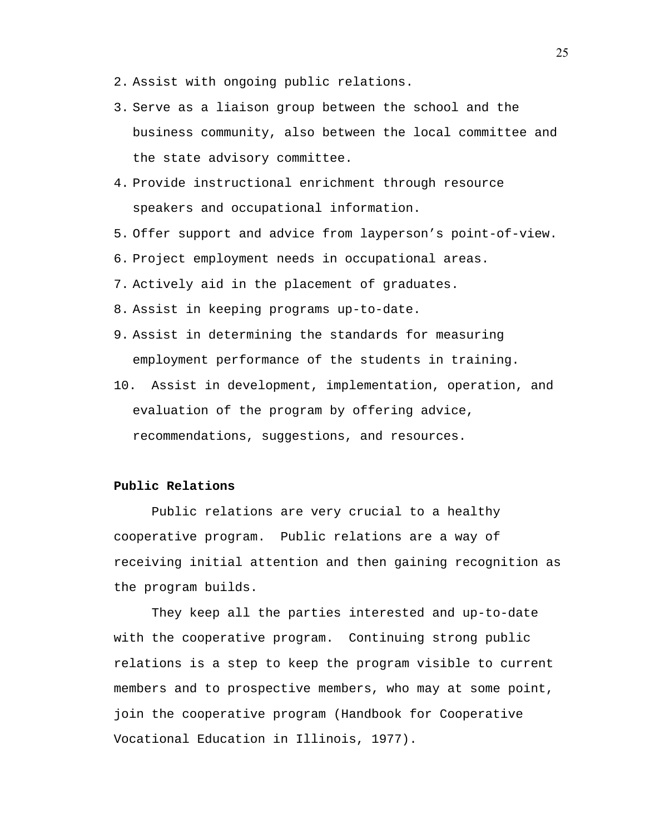- 2. Assist with ongoing public relations.
- 3. Serve as a liaison group between the school and the business community, also between the local committee and the state advisory committee.
- 4. Provide instructional enrichment through resource speakers and occupational information.
- 5. Offer support and advice from layperson's point-of-view.
- 6. Project employment needs in occupational areas.
- 7. Actively aid in the placement of graduates.
- 8. Assist in keeping programs up-to-date.
- 9. Assist in determining the standards for measuring employment performance of the students in training.
- 10. Assist in development, implementation, operation, and evaluation of the program by offering advice, recommendations, suggestions, and resources.

## **Public Relations**

 Public relations are very crucial to a healthy cooperative program. Public relations are a way of receiving initial attention and then gaining recognition as the program builds.

They keep all the parties interested and up-to-date with the cooperative program. Continuing strong public relations is a step to keep the program visible to current members and to prospective members, who may at some point, join the cooperative program (Handbook for Cooperative Vocational Education in Illinois, 1977).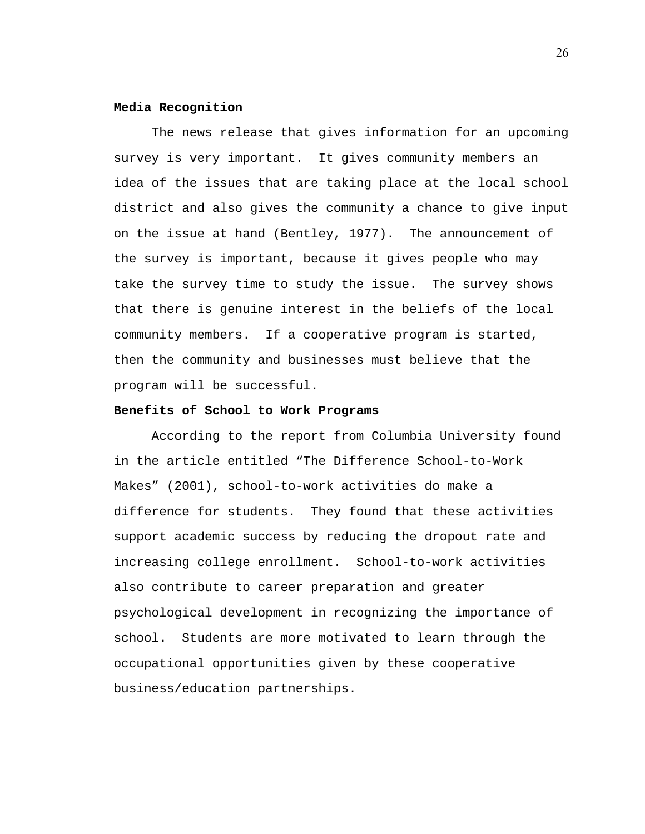#### **Media Recognition**

The news release that gives information for an upcoming survey is very important. It gives community members an idea of the issues that are taking place at the local school district and also gives the community a chance to give input on the issue at hand (Bentley, 1977). The announcement of the survey is important, because it gives people who may take the survey time to study the issue. The survey shows that there is genuine interest in the beliefs of the local community members. If a cooperative program is started, then the community and businesses must believe that the program will be successful.

## **Benefits of School to Work Programs**

According to the report from Columbia University found in the article entitled "The Difference School-to-Work Makes" (2001), school-to-work activities do make a difference for students. They found that these activities support academic success by reducing the dropout rate and increasing college enrollment. School-to-work activities also contribute to career preparation and greater psychological development in recognizing the importance of school. Students are more motivated to learn through the occupational opportunities given by these cooperative business/education partnerships.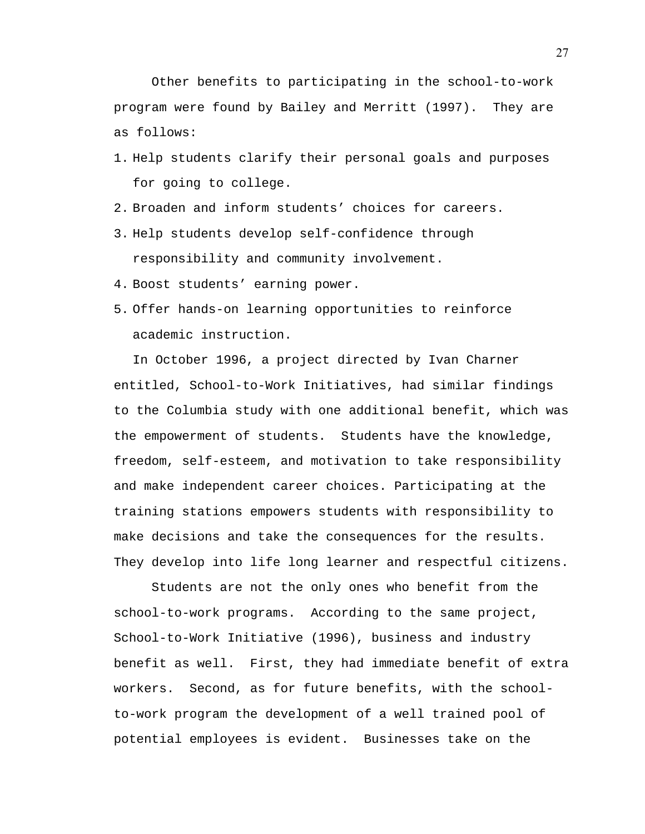Other benefits to participating in the school-to-work program were found by Bailey and Merritt (1997). They are as follows:

- 1. Help students clarify their personal goals and purposes for going to college.
- 2. Broaden and inform students' choices for careers.
- 3. Help students develop self-confidence through responsibility and community involvement.
- 4. Boost students' earning power.
- 5. Offer hands-on learning opportunities to reinforce academic instruction.

In October 1996, a project directed by Ivan Charner entitled, School-to-Work Initiatives, had similar findings to the Columbia study with one additional benefit, which was the empowerment of students. Students have the knowledge, freedom, self-esteem, and motivation to take responsibility and make independent career choices. Participating at the training stations empowers students with responsibility to make decisions and take the consequences for the results. They develop into life long learner and respectful citizens.

 Students are not the only ones who benefit from the school-to-work programs. According to the same project, School-to-Work Initiative (1996), business and industry benefit as well. First, they had immediate benefit of extra workers. Second, as for future benefits, with the schoolto-work program the development of a well trained pool of potential employees is evident. Businesses take on the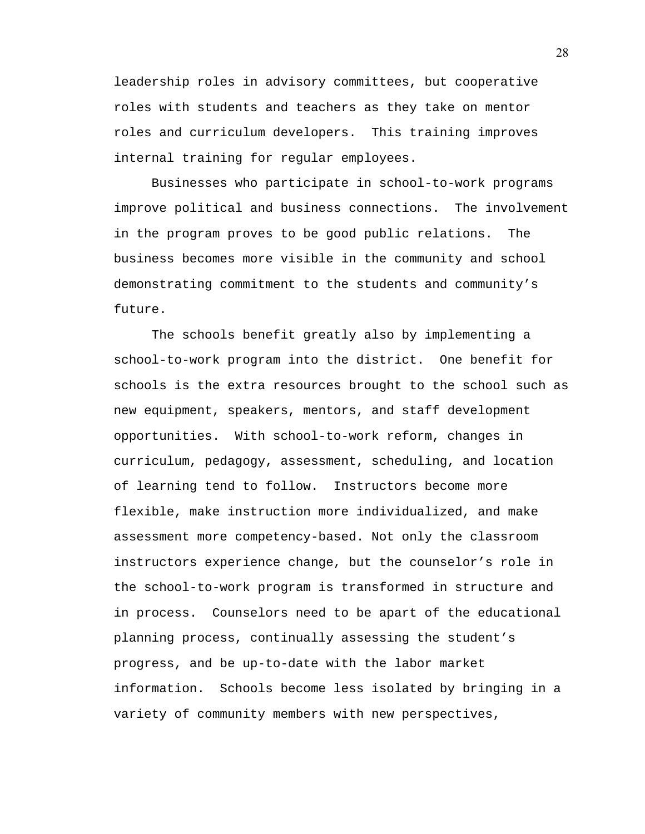leadership roles in advisory committees, but cooperative roles with students and teachers as they take on mentor roles and curriculum developers. This training improves internal training for regular employees.

 Businesses who participate in school-to-work programs improve political and business connections. The involvement in the program proves to be good public relations. The business becomes more visible in the community and school demonstrating commitment to the students and community's future.

 The schools benefit greatly also by implementing a school-to-work program into the district. One benefit for schools is the extra resources brought to the school such as new equipment, speakers, mentors, and staff development opportunities. With school-to-work reform, changes in curriculum, pedagogy, assessment, scheduling, and location of learning tend to follow. Instructors become more flexible, make instruction more individualized, and make assessment more competency-based. Not only the classroom instructors experience change, but the counselor's role in the school-to-work program is transformed in structure and in process. Counselors need to be apart of the educational planning process, continually assessing the student's progress, and be up-to-date with the labor market information. Schools become less isolated by bringing in a variety of community members with new perspectives,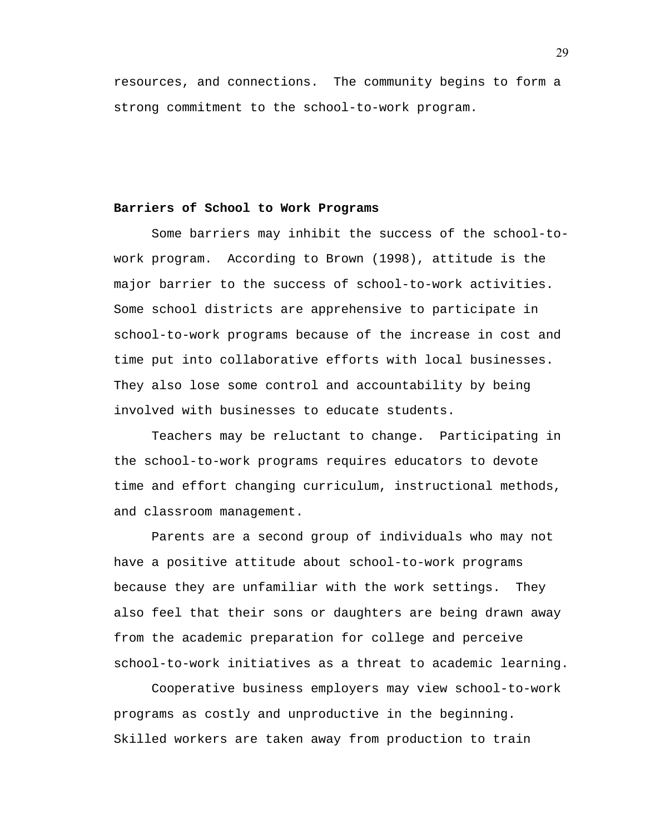resources, and connections. The community begins to form a strong commitment to the school-to-work program.

## **Barriers of School to Work Programs**

Some barriers may inhibit the success of the school-towork program. According to Brown (1998), attitude is the major barrier to the success of school-to-work activities. Some school districts are apprehensive to participate in school-to-work programs because of the increase in cost and time put into collaborative efforts with local businesses. They also lose some control and accountability by being involved with businesses to educate students.

Teachers may be reluctant to change. Participating in the school-to-work programs requires educators to devote time and effort changing curriculum, instructional methods, and classroom management.

Parents are a second group of individuals who may not have a positive attitude about school-to-work programs because they are unfamiliar with the work settings. They also feel that their sons or daughters are being drawn away from the academic preparation for college and perceive school-to-work initiatives as a threat to academic learning.

Cooperative business employers may view school-to-work programs as costly and unproductive in the beginning. Skilled workers are taken away from production to train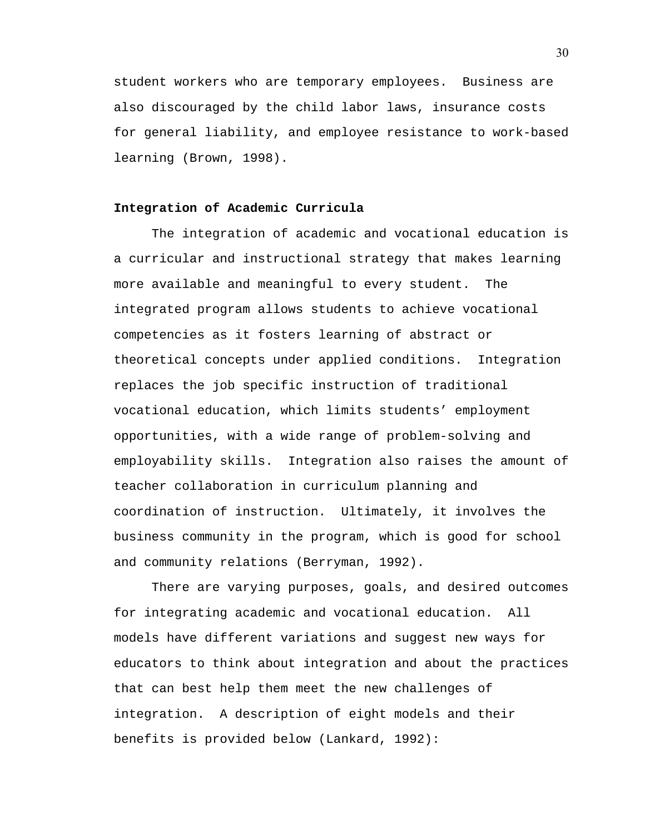student workers who are temporary employees. Business are also discouraged by the child labor laws, insurance costs for general liability, and employee resistance to work-based learning (Brown, 1998).

## **Integration of Academic Curricula**

 The integration of academic and vocational education is a curricular and instructional strategy that makes learning more available and meaningful to every student. The integrated program allows students to achieve vocational competencies as it fosters learning of abstract or theoretical concepts under applied conditions. Integration replaces the job specific instruction of traditional vocational education, which limits students' employment opportunities, with a wide range of problem-solving and employability skills. Integration also raises the amount of teacher collaboration in curriculum planning and coordination of instruction. Ultimately, it involves the business community in the program, which is good for school and community relations (Berryman, 1992).

 There are varying purposes, goals, and desired outcomes for integrating academic and vocational education. All models have different variations and suggest new ways for educators to think about integration and about the practices that can best help them meet the new challenges of integration. A description of eight models and their benefits is provided below (Lankard, 1992):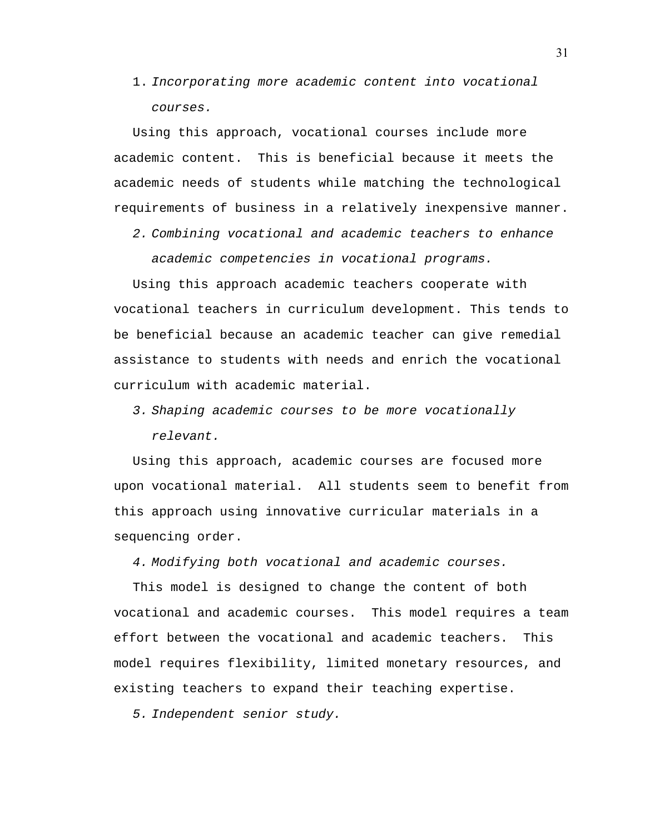1. Incorporating more academic content into vocational courses.

Using this approach, vocational courses include more academic content. This is beneficial because it meets the academic needs of students while matching the technological requirements of business in a relatively inexpensive manner.

2. Combining vocational and academic teachers to enhance academic competencies in vocational programs.

Using this approach academic teachers cooperate with vocational teachers in curriculum development. This tends to be beneficial because an academic teacher can give remedial assistance to students with needs and enrich the vocational curriculum with academic material.

3. Shaping academic courses to be more vocationally

relevant.

Using this approach, academic courses are focused more upon vocational material. All students seem to benefit from this approach using innovative curricular materials in a sequencing order.

4. Modifying both vocational and academic courses.

This model is designed to change the content of both vocational and academic courses. This model requires a team effort between the vocational and academic teachers. This model requires flexibility, limited monetary resources, and existing teachers to expand their teaching expertise.

5. Independent senior study.

31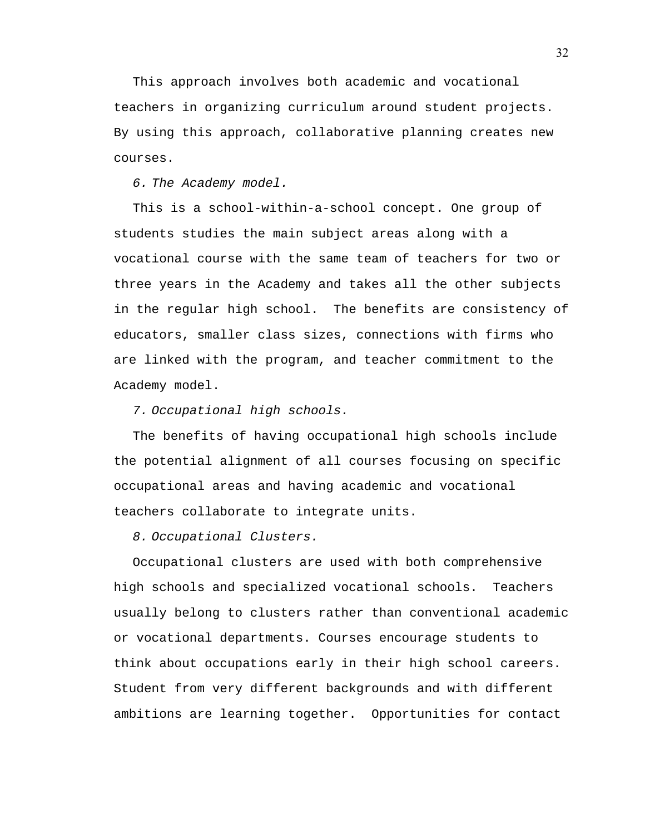This approach involves both academic and vocational teachers in organizing curriculum around student projects. By using this approach, collaborative planning creates new courses.

6. The Academy model.

This is a school-within-a-school concept. One group of students studies the main subject areas along with a vocational course with the same team of teachers for two or three years in the Academy and takes all the other subjects in the regular high school. The benefits are consistency of educators, smaller class sizes, connections with firms who are linked with the program, and teacher commitment to the Academy model.

7. Occupational high schools.

The benefits of having occupational high schools include the potential alignment of all courses focusing on specific occupational areas and having academic and vocational teachers collaborate to integrate units.

8. Occupational Clusters.

Occupational clusters are used with both comprehensive high schools and specialized vocational schools. Teachers usually belong to clusters rather than conventional academic or vocational departments. Courses encourage students to think about occupations early in their high school careers. Student from very different backgrounds and with different ambitions are learning together. Opportunities for contact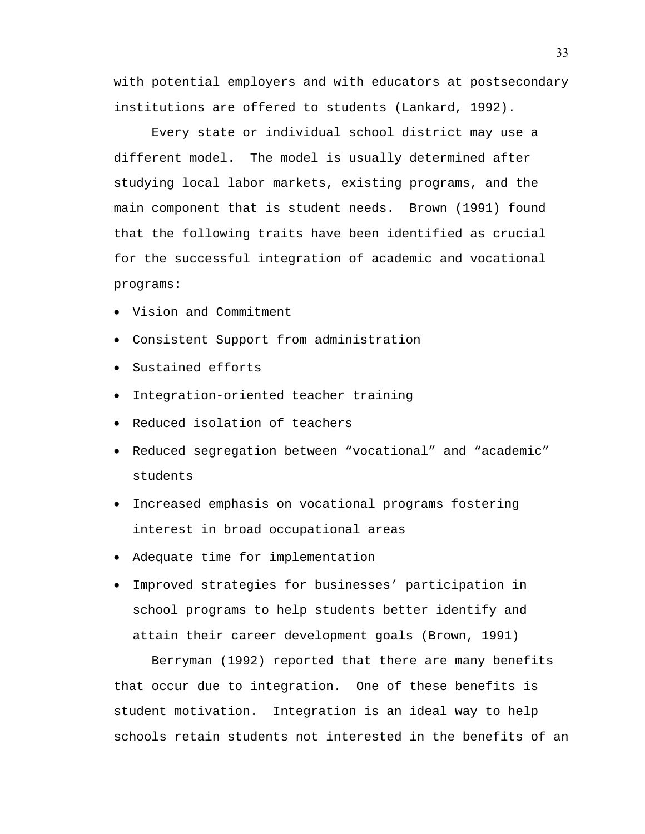with potential employers and with educators at postsecondary institutions are offered to students (Lankard, 1992).

 Every state or individual school district may use a different model. The model is usually determined after studying local labor markets, existing programs, and the main component that is student needs. Brown (1991) found that the following traits have been identified as crucial for the successful integration of academic and vocational programs:

- Vision and Commitment
- Consistent Support from administration
- Sustained efforts
- Integration-oriented teacher training
- Reduced isolation of teachers
- Reduced segregation between "vocational" and "academic" students
- Increased emphasis on vocational programs fostering interest in broad occupational areas
- Adequate time for implementation
- Improved strategies for businesses' participation in school programs to help students better identify and attain their career development goals (Brown, 1991)

 Berryman (1992) reported that there are many benefits that occur due to integration. One of these benefits is student motivation. Integration is an ideal way to help schools retain students not interested in the benefits of an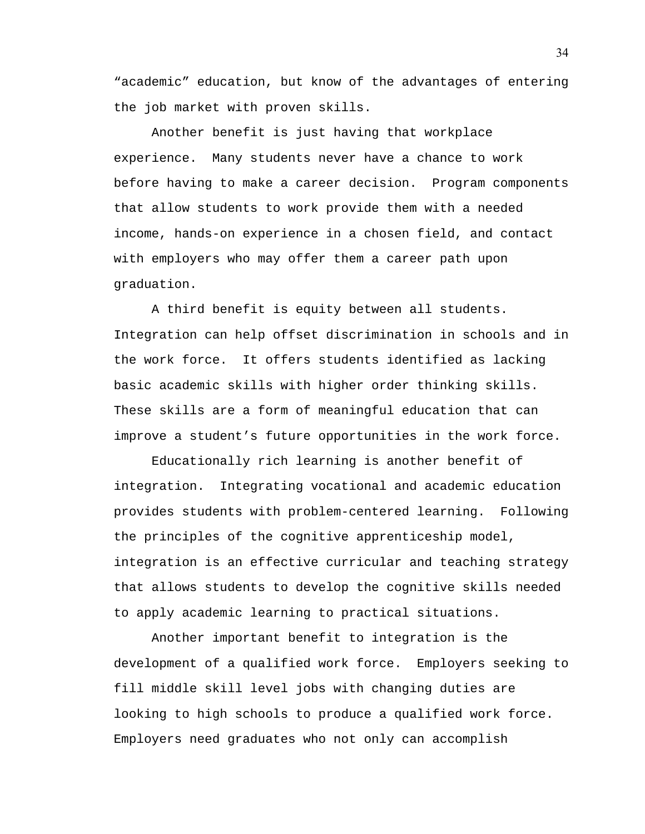"academic" education, but know of the advantages of entering the job market with proven skills.

 Another benefit is just having that workplace experience. Many students never have a chance to work before having to make a career decision. Program components that allow students to work provide them with a needed income, hands-on experience in a chosen field, and contact with employers who may offer them a career path upon graduation.

 A third benefit is equity between all students. Integration can help offset discrimination in schools and in the work force. It offers students identified as lacking basic academic skills with higher order thinking skills. These skills are a form of meaningful education that can improve a student's future opportunities in the work force.

 Educationally rich learning is another benefit of integration. Integrating vocational and academic education provides students with problem-centered learning. Following the principles of the cognitive apprenticeship model, integration is an effective curricular and teaching strategy that allows students to develop the cognitive skills needed to apply academic learning to practical situations.

 Another important benefit to integration is the development of a qualified work force. Employers seeking to fill middle skill level jobs with changing duties are looking to high schools to produce a qualified work force. Employers need graduates who not only can accomplish

34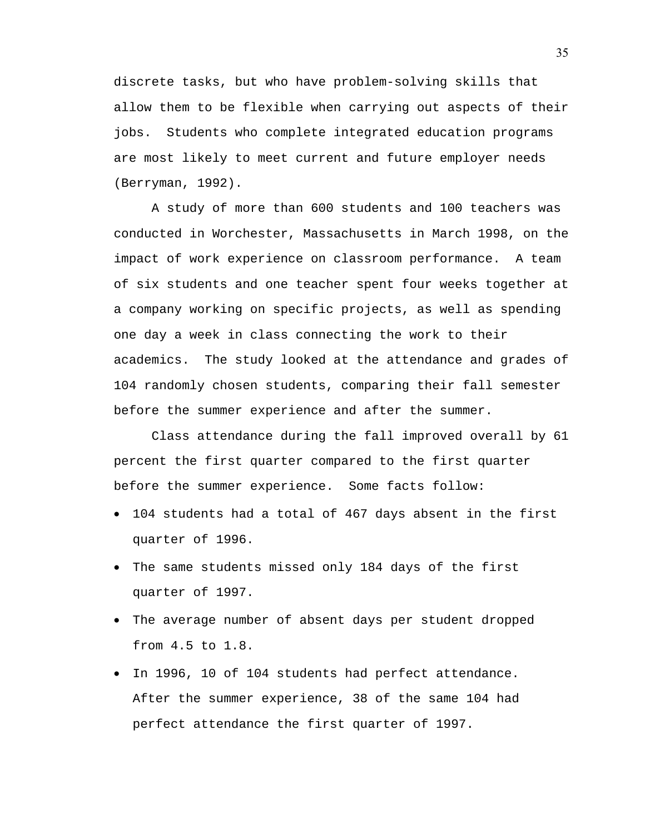discrete tasks, but who have problem-solving skills that allow them to be flexible when carrying out aspects of their jobs. Students who complete integrated education programs are most likely to meet current and future employer needs (Berryman, 1992).

 A study of more than 600 students and 100 teachers was conducted in Worchester, Massachusetts in March 1998, on the impact of work experience on classroom performance. A team of six students and one teacher spent four weeks together at a company working on specific projects, as well as spending one day a week in class connecting the work to their academics. The study looked at the attendance and grades of 104 randomly chosen students, comparing their fall semester before the summer experience and after the summer.

 Class attendance during the fall improved overall by 61 percent the first quarter compared to the first quarter before the summer experience. Some facts follow:

- 104 students had a total of 467 days absent in the first quarter of 1996.
- The same students missed only 184 days of the first quarter of 1997.
- The average number of absent days per student dropped from 4.5 to 1.8.
- In 1996, 10 of 104 students had perfect attendance. After the summer experience, 38 of the same 104 had perfect attendance the first quarter of 1997.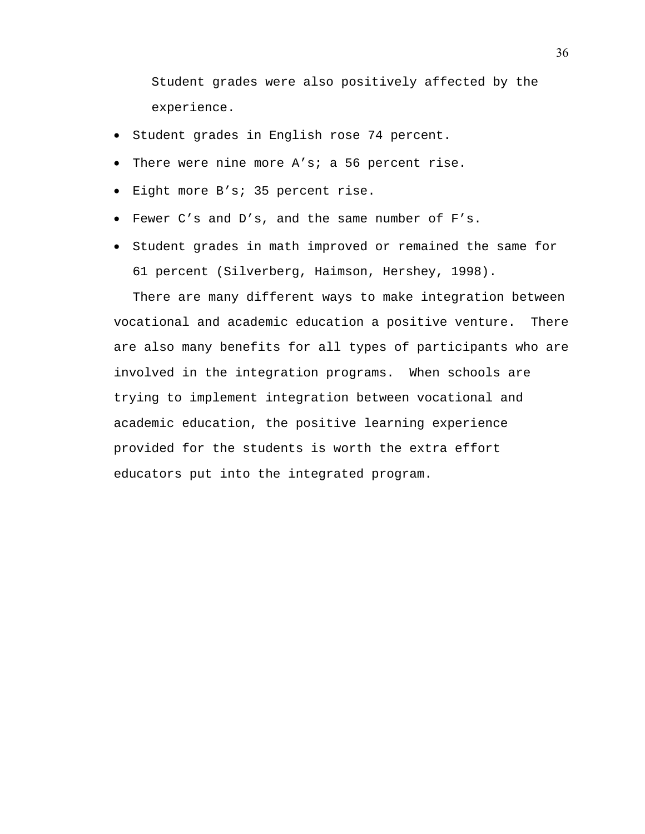Student grades were also positively affected by the experience.

- Student grades in English rose 74 percent.
- There were nine more A's; a 56 percent rise.
- Eight more B's; 35 percent rise.
- Fewer C's and D's, and the same number of F's.
- Student grades in math improved or remained the same for 61 percent (Silverberg, Haimson, Hershey, 1998).

There are many different ways to make integration between vocational and academic education a positive venture. There are also many benefits for all types of participants who are involved in the integration programs. When schools are trying to implement integration between vocational and academic education, the positive learning experience provided for the students is worth the extra effort educators put into the integrated program.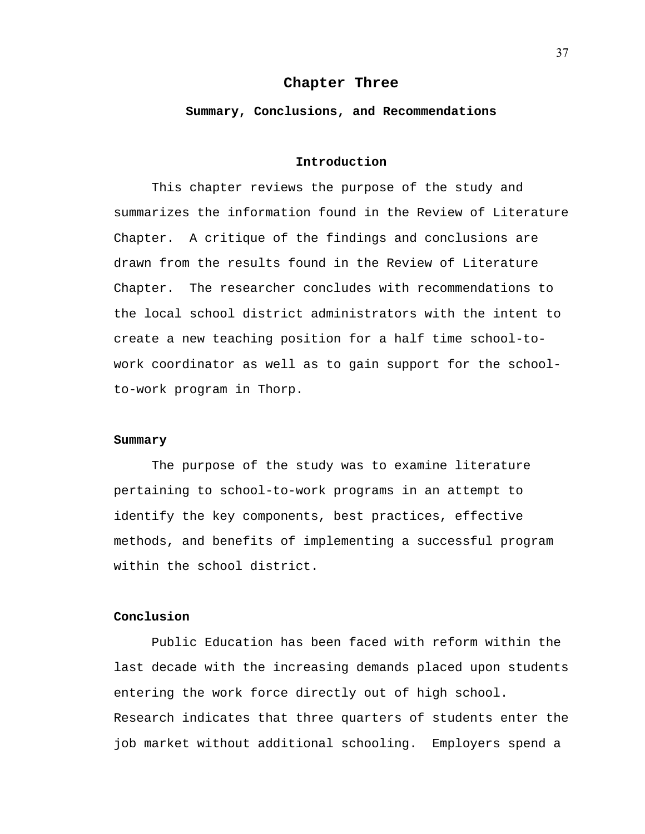#### **Chapter Three**

#### **Summary, Conclusions, and Recommendations**

## **Introduction**

This chapter reviews the purpose of the study and summarizes the information found in the Review of Literature Chapter. A critique of the findings and conclusions are drawn from the results found in the Review of Literature Chapter. The researcher concludes with recommendations to the local school district administrators with the intent to create a new teaching position for a half time school-towork coordinator as well as to gain support for the schoolto-work program in Thorp.

## **Summary**

The purpose of the study was to examine literature pertaining to school-to-work programs in an attempt to identify the key components, best practices, effective methods, and benefits of implementing a successful program within the school district.

#### **Conclusion**

 Public Education has been faced with reform within the last decade with the increasing demands placed upon students entering the work force directly out of high school. Research indicates that three quarters of students enter the job market without additional schooling. Employers spend a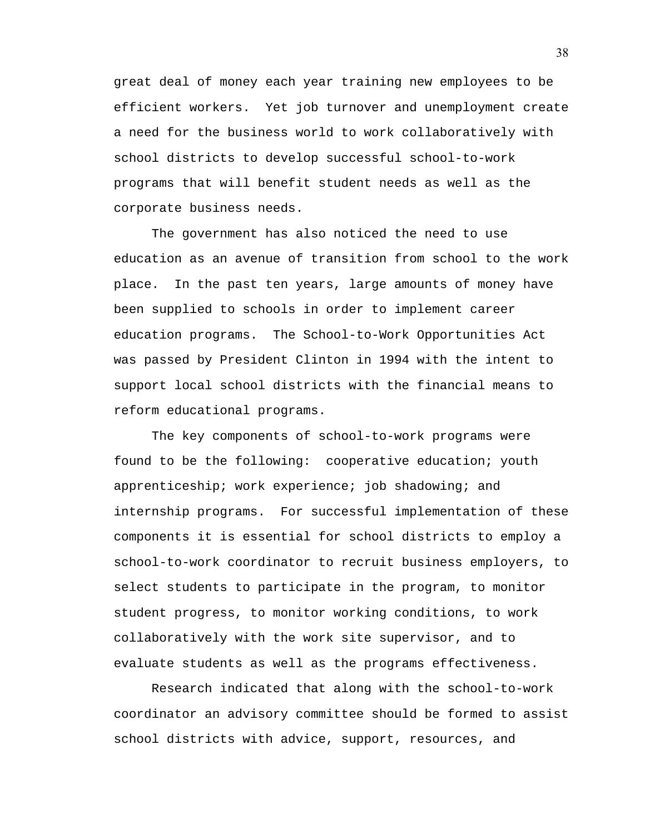great deal of money each year training new employees to be efficient workers. Yet job turnover and unemployment create a need for the business world to work collaboratively with school districts to develop successful school-to-work programs that will benefit student needs as well as the corporate business needs.

 The government has also noticed the need to use education as an avenue of transition from school to the work place. In the past ten years, large amounts of money have been supplied to schools in order to implement career education programs. The School-to-Work Opportunities Act was passed by President Clinton in 1994 with the intent to support local school districts with the financial means to reform educational programs.

 The key components of school-to-work programs were found to be the following: cooperative education; youth apprenticeship; work experience; job shadowing; and internship programs. For successful implementation of these components it is essential for school districts to employ a school-to-work coordinator to recruit business employers, to select students to participate in the program, to monitor student progress, to monitor working conditions, to work collaboratively with the work site supervisor, and to evaluate students as well as the programs effectiveness.

 Research indicated that along with the school-to-work coordinator an advisory committee should be formed to assist school districts with advice, support, resources, and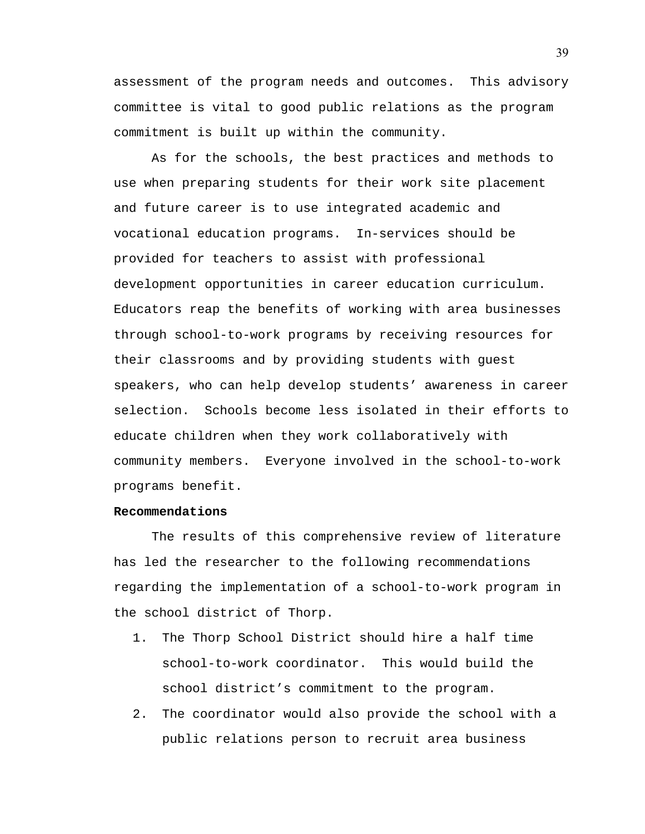assessment of the program needs and outcomes. This advisory committee is vital to good public relations as the program commitment is built up within the community.

 As for the schools, the best practices and methods to use when preparing students for their work site placement and future career is to use integrated academic and vocational education programs. In-services should be provided for teachers to assist with professional development opportunities in career education curriculum. Educators reap the benefits of working with area businesses through school-to-work programs by receiving resources for their classrooms and by providing students with guest speakers, who can help develop students' awareness in career selection. Schools become less isolated in their efforts to educate children when they work collaboratively with community members. Everyone involved in the school-to-work programs benefit.

#### **Recommendations**

The results of this comprehensive review of literature has led the researcher to the following recommendations regarding the implementation of a school-to-work program in the school district of Thorp.

- 1. The Thorp School District should hire a half time school-to-work coordinator. This would build the school district's commitment to the program.
- 2. The coordinator would also provide the school with a public relations person to recruit area business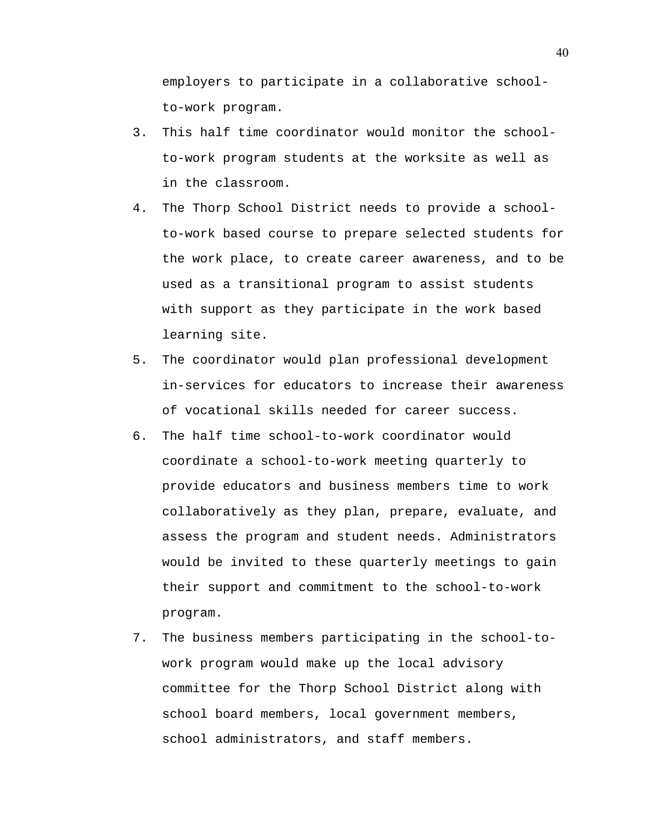employers to participate in a collaborative schoolto-work program.

- 3. This half time coordinator would monitor the schoolto-work program students at the worksite as well as in the classroom.
- 4. The Thorp School District needs to provide a schoolto-work based course to prepare selected students for the work place, to create career awareness, and to be used as a transitional program to assist students with support as they participate in the work based learning site.
- 5. The coordinator would plan professional development in-services for educators to increase their awareness of vocational skills needed for career success.
- 6. The half time school-to-work coordinator would coordinate a school-to-work meeting quarterly to provide educators and business members time to work collaboratively as they plan, prepare, evaluate, and assess the program and student needs. Administrators would be invited to these quarterly meetings to gain their support and commitment to the school-to-work program.
- 7. The business members participating in the school-towork program would make up the local advisory committee for the Thorp School District along with school board members, local government members, school administrators, and staff members.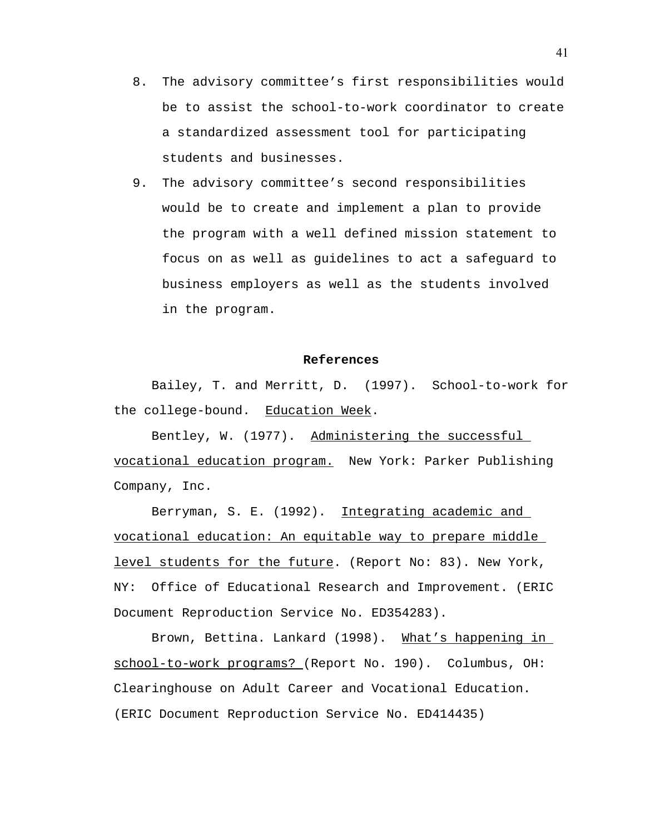- 8. The advisory committee's first responsibilities would be to assist the school-to-work coordinator to create a standardized assessment tool for participating students and businesses.
- 9. The advisory committee's second responsibilities would be to create and implement a plan to provide the program with a well defined mission statement to focus on as well as guidelines to act a safeguard to business employers as well as the students involved in the program.

#### **References**

Bailey, T. and Merritt, D. (1997). School-to-work for the college-bound. Education Week.

Bentley, W. (1977). Administering the successful vocational education program. New York: Parker Publishing Company, Inc.

Berryman, S. E. (1992). Integrating academic and vocational education: An equitable way to prepare middle level students for the future. (Report No: 83). New York, NY: Office of Educational Research and Improvement. (ERIC Document Reproduction Service No. ED354283).

Brown, Bettina. Lankard (1998). What's happening in school-to-work programs? (Report No. 190). Columbus, OH: Clearinghouse on Adult Career and Vocational Education. (ERIC Document Reproduction Service No. ED414435)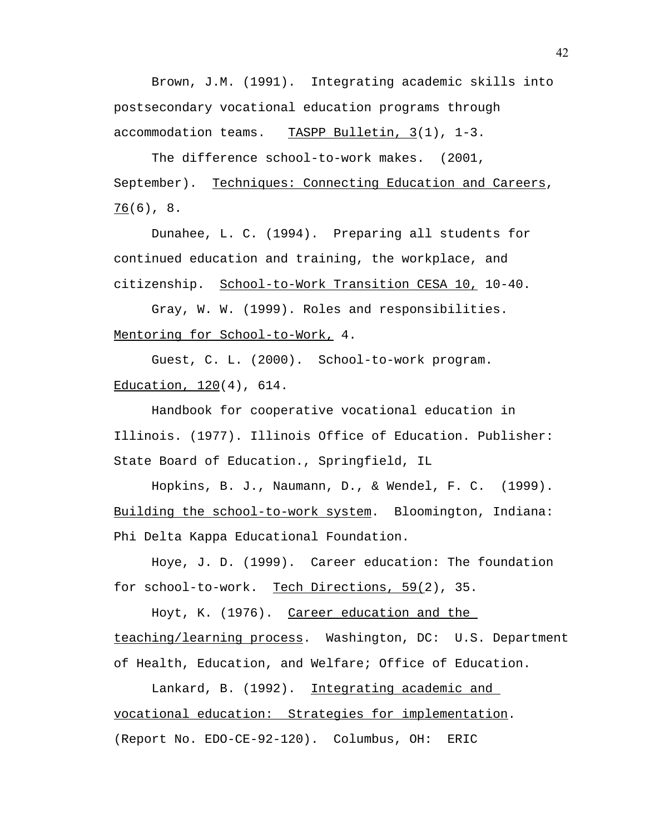Brown, J.M. (1991). Integrating academic skills into postsecondary vocational education programs through accommodation teams. TASPP Bulletin,  $3(1)$ , 1-3.

The difference school-to-work makes. (2001, September). Techniques: Connecting Education and Careers, 76(6), 8.

Dunahee, L. C. (1994). Preparing all students for continued education and training, the workplace, and citizenship. School-to-Work Transition CESA 10, 10-40.

 Gray, W. W. (1999). Roles and responsibilities. Mentoring for School-to-Work, 4.

Guest, C. L. (2000). School-to-work program. Education, 120(4), 614.

Handbook for cooperative vocational education in Illinois. (1977). Illinois Office of Education. Publisher: State Board of Education., Springfield, IL

 Hopkins, B. J., Naumann, D., & Wendel, F. C. (1999). Building the school-to-work system. Bloomington, Indiana: Phi Delta Kappa Educational Foundation.

Hoye, J. D. (1999). Career education: The foundation for school-to-work. Tech Directions, 59(2), 35.

Hoyt, K. (1976). Career education and the teaching/learning process. Washington, DC: U.S. Department of Health, Education, and Welfare; Office of Education.

Lankard, B. (1992). Integrating academic and vocational education: Strategies for implementation. (Report No. EDO-CE-92-120). Columbus, OH: ERIC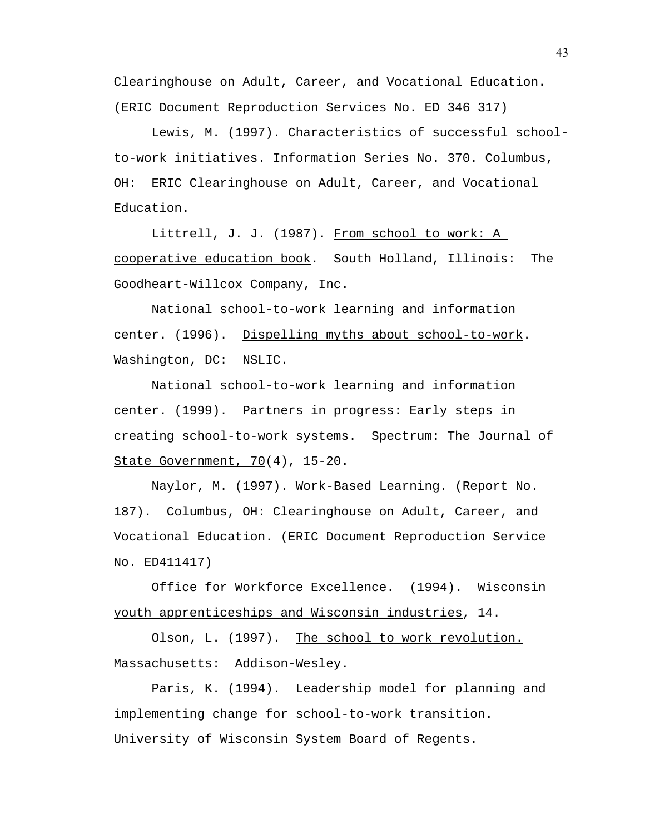Clearinghouse on Adult, Career, and Vocational Education. (ERIC Document Reproduction Services No. ED 346 317)

Lewis, M. (1997). Characteristics of successful schoolto-work initiatives. Information Series No. 370. Columbus, OH: ERIC Clearinghouse on Adult, Career, and Vocational Education.

Littrell, J. J. (1987). From school to work: A cooperative education book. South Holland, Illinois: The Goodheart-Willcox Company, Inc.

National school-to-work learning and information center. (1996). Dispelling myths about school-to-work. Washington, DC: NSLIC.

National school-to-work learning and information center. (1999). Partners in progress: Early steps in creating school-to-work systems. Spectrum: The Journal of State Government, 70(4), 15-20.

Naylor, M. (1997). Work-Based Learning. (Report No. 187). Columbus, OH: Clearinghouse on Adult, Career, and Vocational Education. (ERIC Document Reproduction Service No. ED411417)

 Office for Workforce Excellence. (1994). Wisconsin youth apprenticeships and Wisconsin industries, 14.

Olson, L. (1997). The school to work revolution. Massachusetts: Addison-Wesley.

Paris, K. (1994). Leadership model for planning and implementing change for school-to-work transition. University of Wisconsin System Board of Regents.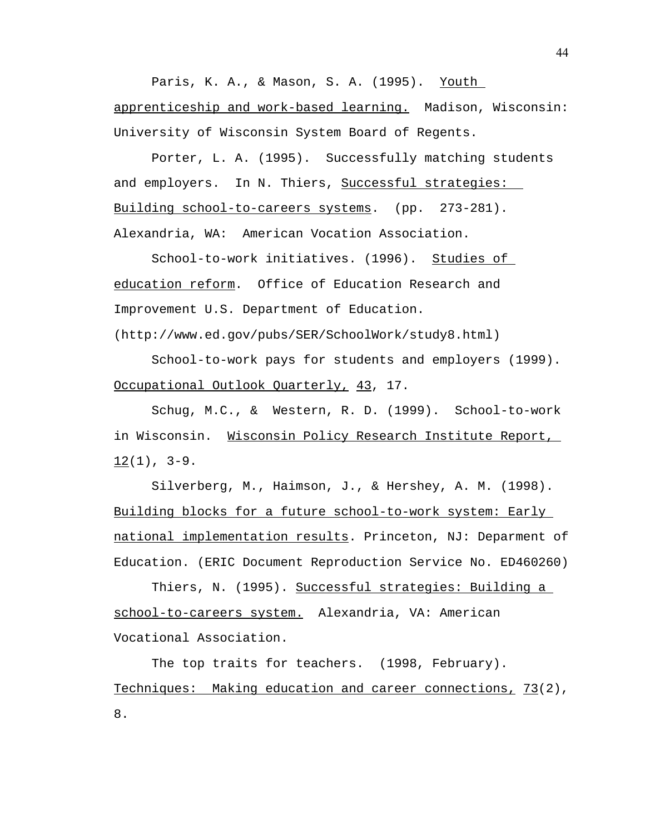Paris, K. A., & Mason, S. A. (1995). Youth apprenticeship and work-based learning. Madison, Wisconsin: University of Wisconsin System Board of Regents.

Porter, L. A. (1995). Successfully matching students and employers. In N. Thiers, Successful strategies: Building school-to-careers systems. (pp. 273-281). Alexandria, WA: American Vocation Association.

 School-to-work initiatives. (1996). Studies of education reform. Office of Education Research and Improvement U.S. Department of Education.

(http://www.ed.gov/pubs/SER/SchoolWork/study8.html)

 School-to-work pays for students and employers (1999). Occupational Outlook Quarterly, 43, 17.

 Schug, M.C., & Western, R. D. (1999). School-to-work in Wisconsin. Wisconsin Policy Research Institute Report,  $12(1)$ ,  $3-9$ .

Silverberg, M., Haimson, J., & Hershey, A. M. (1998). Building blocks for a future school-to-work system: Early national implementation results. Princeton, NJ: Deparment of Education. (ERIC Document Reproduction Service No. ED460260)

Thiers, N. (1995). Successful strategies: Building a school-to-careers system. Alexandria, VA: American Vocational Association.

The top traits for teachers. (1998, February). Techniques: Making education and career connections, 73(2), 8.